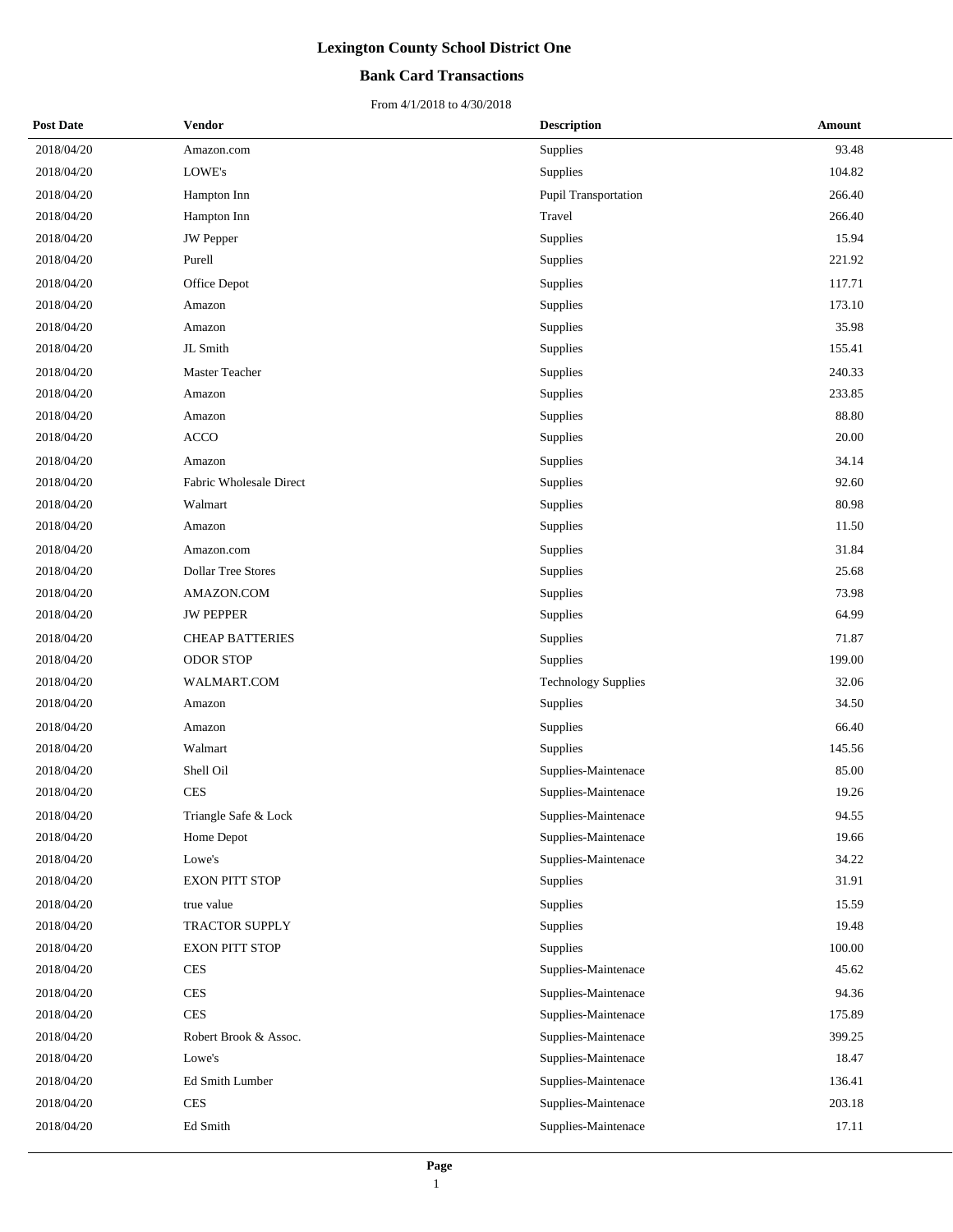#### **Bank Card Transactions**

| <b>Post Date</b> | <b>Vendor</b>             | <b>Description</b>         | Amount |
|------------------|---------------------------|----------------------------|--------|
| 2018/04/20       | Amazon.com                | Supplies                   | 93.48  |
| 2018/04/20       | LOWE's                    | Supplies                   | 104.82 |
| 2018/04/20       | Hampton Inn               | Pupil Transportation       | 266.40 |
| 2018/04/20       | Hampton Inn               | Travel                     | 266.40 |
| 2018/04/20       | <b>JW</b> Pepper          | Supplies                   | 15.94  |
| 2018/04/20       | Purell                    | Supplies                   | 221.92 |
| 2018/04/20       | Office Depot              | Supplies                   | 117.71 |
| 2018/04/20       | Amazon                    | Supplies                   | 173.10 |
| 2018/04/20       | Amazon                    | Supplies                   | 35.98  |
| 2018/04/20       | JL Smith                  | Supplies                   | 155.41 |
| 2018/04/20       | Master Teacher            | Supplies                   | 240.33 |
| 2018/04/20       | Amazon                    | Supplies                   | 233.85 |
| 2018/04/20       | Amazon                    | Supplies                   | 88.80  |
| 2018/04/20       | <b>ACCO</b>               | Supplies                   | 20.00  |
| 2018/04/20       | Amazon                    | Supplies                   | 34.14  |
| 2018/04/20       | Fabric Wholesale Direct   | Supplies                   | 92.60  |
| 2018/04/20       | Walmart                   | Supplies                   | 80.98  |
| 2018/04/20       | Amazon                    | Supplies                   | 11.50  |
| 2018/04/20       | Amazon.com                | Supplies                   | 31.84  |
| 2018/04/20       | <b>Dollar Tree Stores</b> | Supplies                   | 25.68  |
| 2018/04/20       | AMAZON.COM                | Supplies                   | 73.98  |
| 2018/04/20       | <b>JW PEPPER</b>          | Supplies                   | 64.99  |
| 2018/04/20       | <b>CHEAP BATTERIES</b>    | Supplies                   | 71.87  |
| 2018/04/20       | <b>ODOR STOP</b>          | Supplies                   | 199.00 |
| 2018/04/20       | WALMART.COM               | <b>Technology Supplies</b> | 32.06  |
| 2018/04/20       | Amazon                    | Supplies                   | 34.50  |
| 2018/04/20       | Amazon                    | Supplies                   | 66.40  |
| 2018/04/20       | Walmart                   | Supplies                   | 145.56 |
| 2018/04/20       | Shell Oil                 | Supplies-Maintenace        | 85.00  |
| 2018/04/20       | <b>CES</b>                | Supplies-Maintenace        | 19.26  |
| 2018/04/20       | Triangle Safe & Lock      | Supplies-Maintenace        | 94.55  |
| 2018/04/20       | Home Depot                | Supplies-Maintenace        | 19.66  |
| 2018/04/20       | Lowe's                    | Supplies-Maintenace        | 34.22  |
| 2018/04/20       | <b>EXON PITT STOP</b>     | Supplies                   | 31.91  |
| 2018/04/20       | true value                | Supplies                   | 15.59  |
| 2018/04/20       | TRACTOR SUPPLY            | Supplies                   | 19.48  |
| 2018/04/20       | <b>EXON PITT STOP</b>     | Supplies                   | 100.00 |
| 2018/04/20       | <b>CES</b>                | Supplies-Maintenace        | 45.62  |
| 2018/04/20       | <b>CES</b>                | Supplies-Maintenace        | 94.36  |
| 2018/04/20       | <b>CES</b>                | Supplies-Maintenace        | 175.89 |
| 2018/04/20       | Robert Brook & Assoc.     | Supplies-Maintenace        | 399.25 |
| 2018/04/20       | Lowe's                    | Supplies-Maintenace        | 18.47  |
| 2018/04/20       | Ed Smith Lumber           | Supplies-Maintenace        | 136.41 |
| 2018/04/20       | CES                       | Supplies-Maintenace        | 203.18 |
| 2018/04/20       | Ed Smith                  | Supplies-Maintenace        | 17.11  |
|                  |                           |                            |        |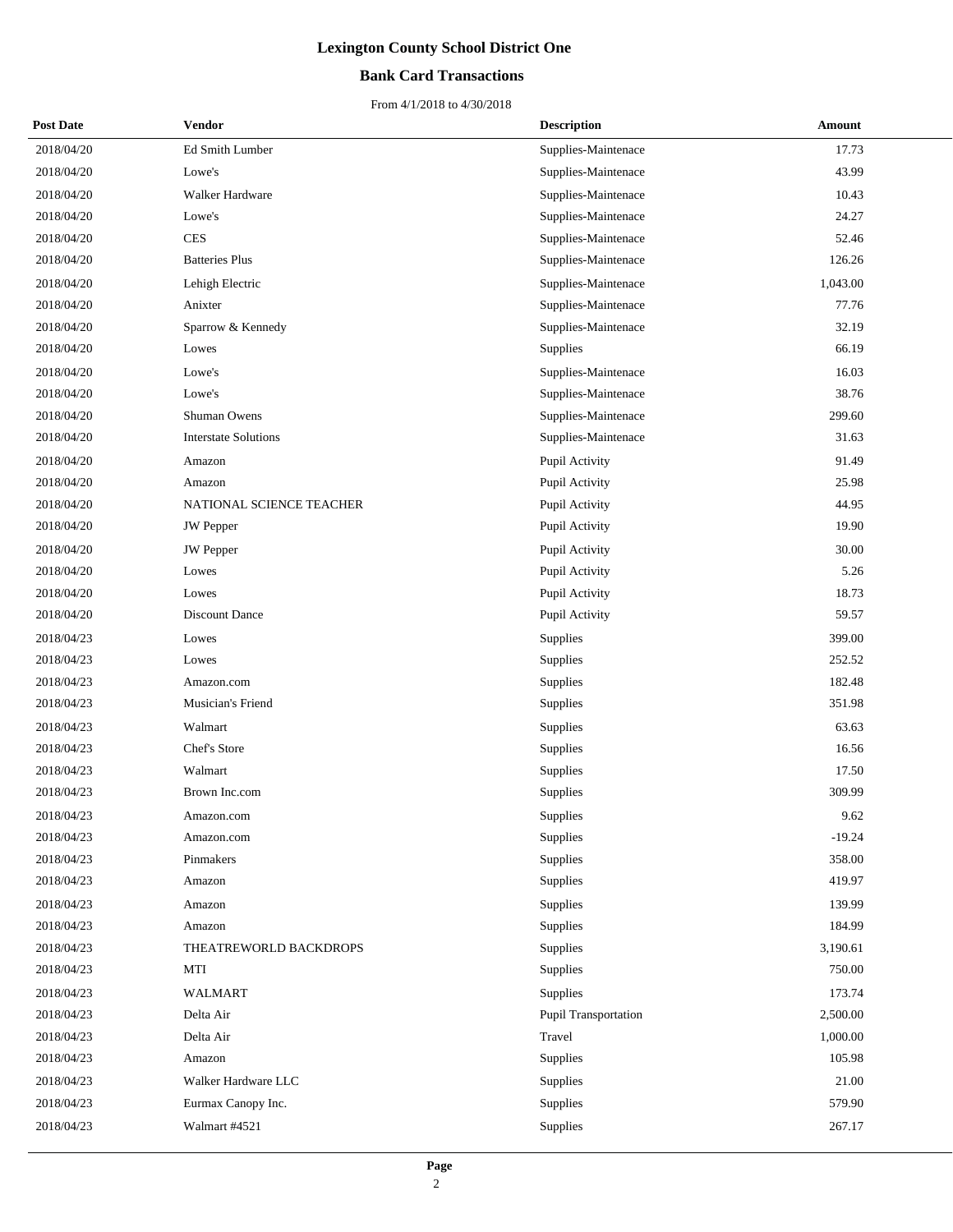### **Bank Card Transactions**

| <b>Post Date</b> | <b>Vendor</b>               | <b>Description</b>          | Amount   |
|------------------|-----------------------------|-----------------------------|----------|
| 2018/04/20       | Ed Smith Lumber             | Supplies-Maintenace         | 17.73    |
| 2018/04/20       | Lowe's                      | Supplies-Maintenace         | 43.99    |
| 2018/04/20       | Walker Hardware             | Supplies-Maintenace         | 10.43    |
| 2018/04/20       | Lowe's                      | Supplies-Maintenace         | 24.27    |
| 2018/04/20       | <b>CES</b>                  | Supplies-Maintenace         | 52.46    |
| 2018/04/20       | <b>Batteries Plus</b>       | Supplies-Maintenace         | 126.26   |
| 2018/04/20       | Lehigh Electric             | Supplies-Maintenace         | 1,043.00 |
| 2018/04/20       | Anixter                     | Supplies-Maintenace         | 77.76    |
| 2018/04/20       | Sparrow & Kennedy           | Supplies-Maintenace         | 32.19    |
| 2018/04/20       | Lowes                       | Supplies                    | 66.19    |
| 2018/04/20       | Lowe's                      | Supplies-Maintenace         | 16.03    |
| 2018/04/20       | Lowe's                      | Supplies-Maintenace         | 38.76    |
| 2018/04/20       | Shuman Owens                | Supplies-Maintenace         | 299.60   |
| 2018/04/20       | <b>Interstate Solutions</b> | Supplies-Maintenace         | 31.63    |
| 2018/04/20       | Amazon                      | Pupil Activity              | 91.49    |
| 2018/04/20       | Amazon                      | Pupil Activity              | 25.98    |
| 2018/04/20       | NATIONAL SCIENCE TEACHER    | Pupil Activity              | 44.95    |
| 2018/04/20       | JW Pepper                   | Pupil Activity              | 19.90    |
| 2018/04/20       | JW Pepper                   | Pupil Activity              | 30.00    |
| 2018/04/20       | Lowes                       | Pupil Activity              | 5.26     |
| 2018/04/20       | Lowes                       | Pupil Activity              | 18.73    |
| 2018/04/20       | Discount Dance              | Pupil Activity              | 59.57    |
| 2018/04/23       | Lowes                       | Supplies                    | 399.00   |
| 2018/04/23       | Lowes                       | Supplies                    | 252.52   |
| 2018/04/23       | Amazon.com                  | Supplies                    | 182.48   |
| 2018/04/23       | Musician's Friend           | Supplies                    | 351.98   |
| 2018/04/23       | Walmart                     | Supplies                    | 63.63    |
| 2018/04/23       | Chef's Store                | Supplies                    | 16.56    |
| 2018/04/23       | Walmart                     | Supplies                    | 17.50    |
| 2018/04/23       | Brown Inc.com               | Supplies                    | 309.99   |
| 2018/04/23       | Amazon.com                  | Supplies                    | 9.62     |
| 2018/04/23       | Amazon.com                  | Supplies                    | $-19.24$ |
| 2018/04/23       | Pinmakers                   | Supplies                    | 358.00   |
| 2018/04/23       | Amazon                      | Supplies                    | 419.97   |
| 2018/04/23       | Amazon                      | Supplies                    | 139.99   |
| 2018/04/23       | Amazon                      | Supplies                    | 184.99   |
| 2018/04/23       | THEATREWORLD BACKDROPS      | Supplies                    | 3,190.61 |
| 2018/04/23       | MTI                         | Supplies                    | 750.00   |
| 2018/04/23       | <b>WALMART</b>              | Supplies                    | 173.74   |
| 2018/04/23       | Delta Air                   | <b>Pupil Transportation</b> | 2,500.00 |
| 2018/04/23       | Delta Air                   | Travel                      | 1,000.00 |
| 2018/04/23       | Amazon                      | Supplies                    | 105.98   |
| 2018/04/23       | Walker Hardware LLC         | Supplies                    | 21.00    |
| 2018/04/23       | Eurmax Canopy Inc.          | Supplies                    | 579.90   |
| 2018/04/23       | Walmart #4521               | Supplies                    | 267.17   |
|                  |                             |                             |          |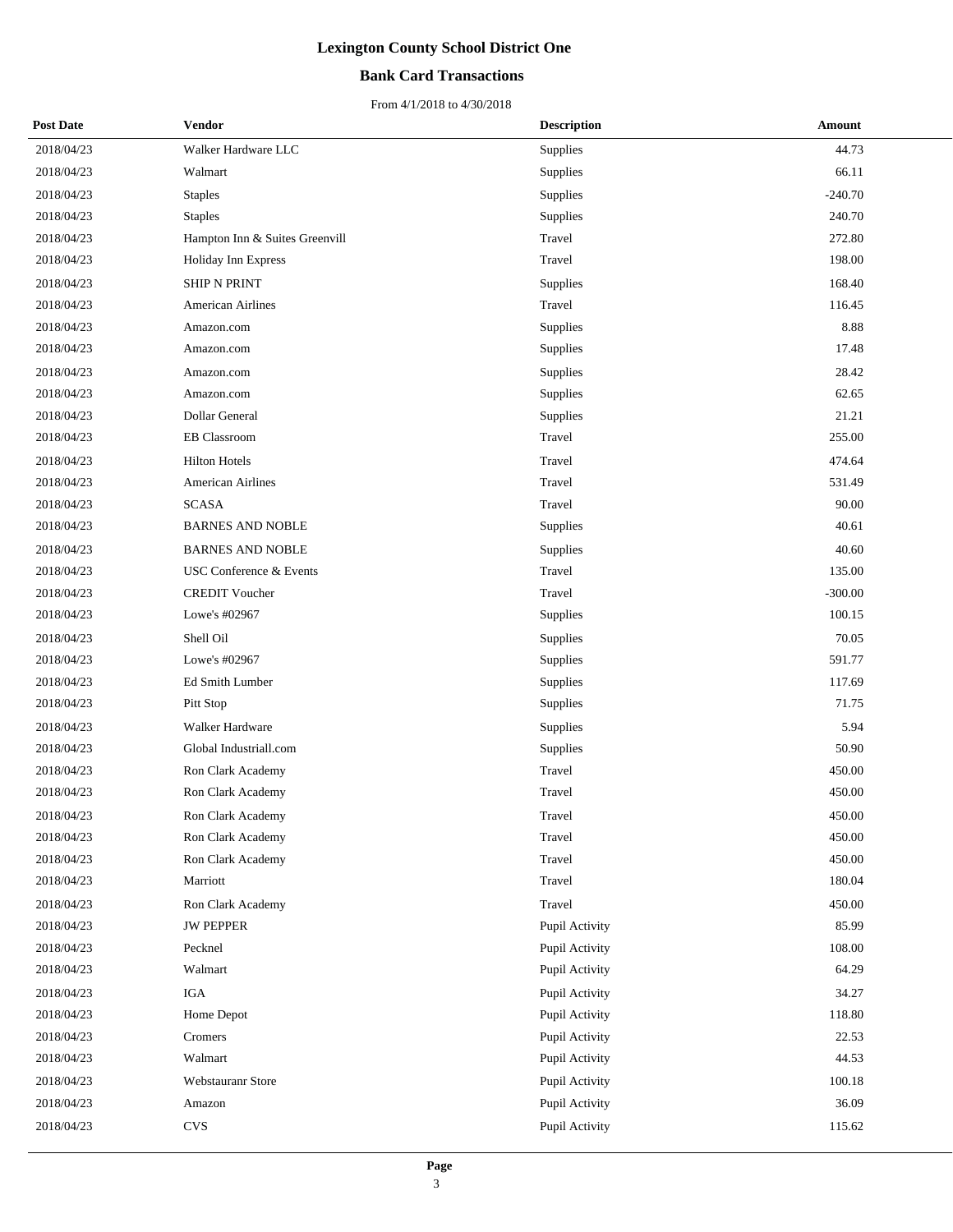### **Bank Card Transactions**

| <b>Post Date</b> | Vendor                         | <b>Description</b> | Amount    |
|------------------|--------------------------------|--------------------|-----------|
| 2018/04/23       | Walker Hardware LLC            | Supplies           | 44.73     |
| 2018/04/23       | Walmart                        | Supplies           | 66.11     |
| 2018/04/23       | <b>Staples</b>                 | Supplies           | $-240.70$ |
| 2018/04/23       | <b>Staples</b>                 | Supplies           | 240.70    |
| 2018/04/23       | Hampton Inn & Suites Greenvill | Travel             | 272.80    |
| 2018/04/23       | Holiday Inn Express            | Travel             | 198.00    |
| 2018/04/23       | SHIP N PRINT                   | Supplies           | 168.40    |
| 2018/04/23       | <b>American Airlines</b>       | Travel             | 116.45    |
| 2018/04/23       | Amazon.com                     | Supplies           | 8.88      |
| 2018/04/23       | Amazon.com                     | Supplies           | 17.48     |
| 2018/04/23       | Amazon.com                     | Supplies           | 28.42     |
| 2018/04/23       | Amazon.com                     | Supplies           | 62.65     |
| 2018/04/23       | Dollar General                 | Supplies           | 21.21     |
| 2018/04/23       | <b>EB</b> Classroom            | Travel             | 255.00    |
| 2018/04/23       | <b>Hilton Hotels</b>           | Travel             | 474.64    |
| 2018/04/23       | American Airlines              | Travel             | 531.49    |
| 2018/04/23       | <b>SCASA</b>                   | Travel             | 90.00     |
| 2018/04/23       | <b>BARNES AND NOBLE</b>        | Supplies           | 40.61     |
| 2018/04/23       | <b>BARNES AND NOBLE</b>        | Supplies           | 40.60     |
| 2018/04/23       | USC Conference & Events        | Travel             | 135.00    |
| 2018/04/23       | <b>CREDIT Voucher</b>          | Travel             | $-300.00$ |
| 2018/04/23       | Lowe's #02967                  | Supplies           | 100.15    |
| 2018/04/23       | Shell Oil                      | Supplies           | 70.05     |
| 2018/04/23       | Lowe's #02967                  | Supplies           | 591.77    |
| 2018/04/23       | Ed Smith Lumber                | Supplies           | 117.69    |
| 2018/04/23       | Pitt Stop                      | Supplies           | 71.75     |
| 2018/04/23       | Walker Hardware                | Supplies           | 5.94      |
| 2018/04/23       | Global Industriall.com         | Supplies           | 50.90     |
| 2018/04/23       | Ron Clark Academy              | Travel             | 450.00    |
| 2018/04/23       | Ron Clark Academy              | Travel             | 450.00    |
| 2018/04/23       | Ron Clark Academy              | Travel             | 450.00    |
| 2018/04/23       | Ron Clark Academy              | Travel             | 450.00    |
| 2018/04/23       | Ron Clark Academy              | Travel             | 450.00    |
| 2018/04/23       | Marriott                       | Travel             | 180.04    |
| 2018/04/23       | Ron Clark Academy              | Travel             | 450.00    |
| 2018/04/23       | <b>JW PEPPER</b>               | Pupil Activity     | 85.99     |
| 2018/04/23       | Pecknel                        | Pupil Activity     | 108.00    |
| 2018/04/23       | Walmart                        | Pupil Activity     | 64.29     |
| 2018/04/23       | IGA                            | Pupil Activity     | 34.27     |
| 2018/04/23       | Home Depot                     | Pupil Activity     | 118.80    |
| 2018/04/23       | Cromers                        | Pupil Activity     | 22.53     |
| 2018/04/23       | Walmart                        | Pupil Activity     | 44.53     |
| 2018/04/23       | Webstauranr Store              | Pupil Activity     | 100.18    |
| 2018/04/23       | Amazon                         | Pupil Activity     | 36.09     |
| 2018/04/23       | <b>CVS</b>                     | Pupil Activity     | 115.62    |
|                  |                                |                    |           |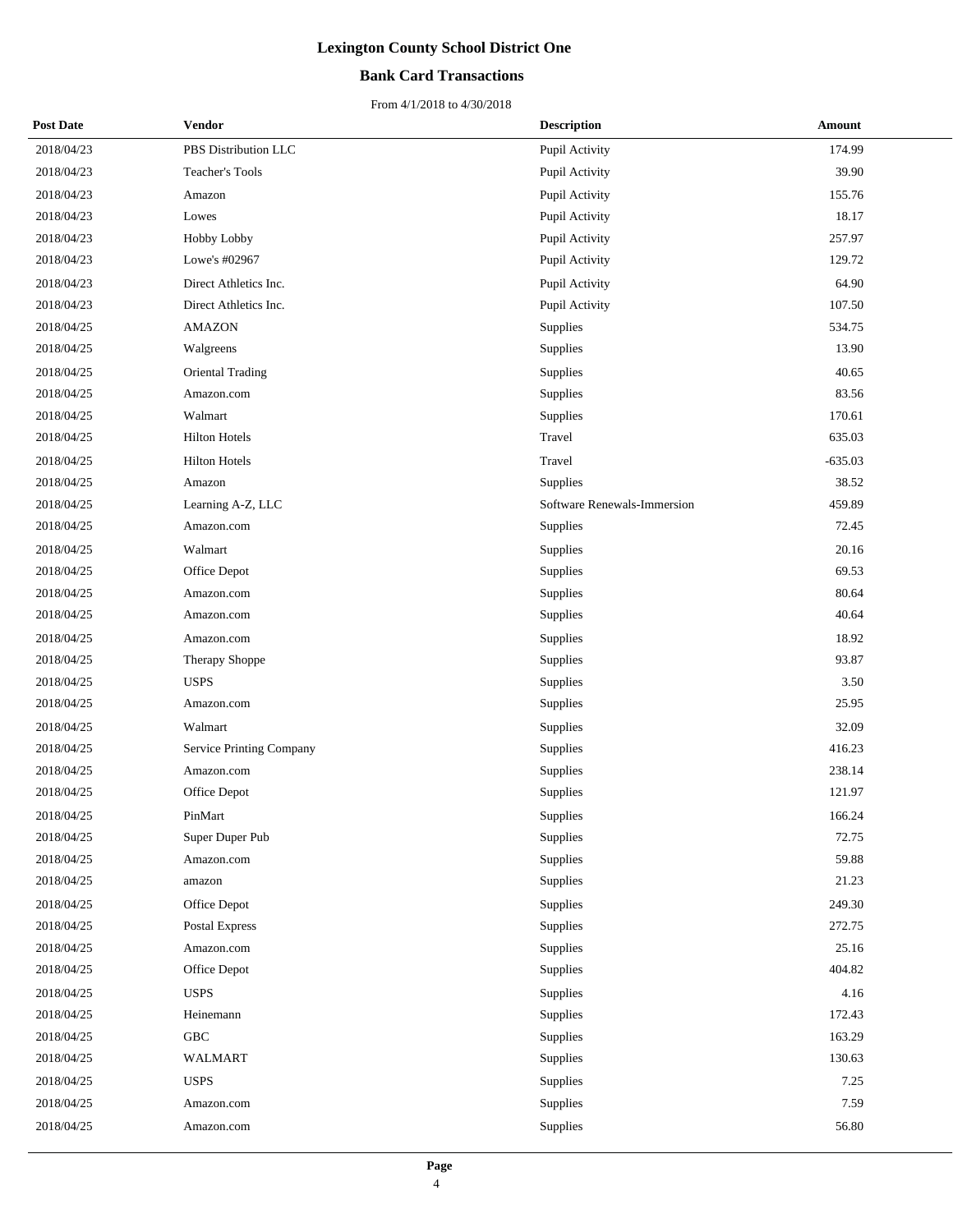#### **Bank Card Transactions**

| <b>Post Date</b> | Vendor                          | <b>Description</b>          | Amount    |
|------------------|---------------------------------|-----------------------------|-----------|
| 2018/04/23       | PBS Distribution LLC            | Pupil Activity              | 174.99    |
| 2018/04/23       | Teacher's Tools                 | Pupil Activity              | 39.90     |
| 2018/04/23       | Amazon                          | Pupil Activity              | 155.76    |
| 2018/04/23       | Lowes                           | Pupil Activity              | 18.17     |
| 2018/04/23       | Hobby Lobby                     | Pupil Activity              | 257.97    |
| 2018/04/23       | Lowe's #02967                   | Pupil Activity              | 129.72    |
| 2018/04/23       | Direct Athletics Inc.           | Pupil Activity              | 64.90     |
| 2018/04/23       | Direct Athletics Inc.           | Pupil Activity              | 107.50    |
| 2018/04/25       | <b>AMAZON</b>                   | Supplies                    | 534.75    |
| 2018/04/25       | Walgreens                       | Supplies                    | 13.90     |
| 2018/04/25       | Oriental Trading                | Supplies                    | 40.65     |
| 2018/04/25       | Amazon.com                      | Supplies                    | 83.56     |
| 2018/04/25       | Walmart                         | Supplies                    | 170.61    |
| 2018/04/25       | <b>Hilton Hotels</b>            | Travel                      | 635.03    |
| 2018/04/25       | <b>Hilton Hotels</b>            | Travel                      | $-635.03$ |
| 2018/04/25       | Amazon                          | Supplies                    | 38.52     |
| 2018/04/25       | Learning A-Z, LLC               | Software Renewals-Immersion | 459.89    |
| 2018/04/25       | Amazon.com                      | Supplies                    | 72.45     |
| 2018/04/25       | Walmart                         | Supplies                    | 20.16     |
| 2018/04/25       | Office Depot                    | Supplies                    | 69.53     |
| 2018/04/25       | Amazon.com                      | Supplies                    | 80.64     |
| 2018/04/25       | Amazon.com                      | Supplies                    | 40.64     |
| 2018/04/25       | Amazon.com                      | Supplies                    | 18.92     |
| 2018/04/25       | Therapy Shoppe                  | Supplies                    | 93.87     |
| 2018/04/25       | <b>USPS</b>                     | Supplies                    | 3.50      |
| 2018/04/25       | Amazon.com                      | Supplies                    | 25.95     |
| 2018/04/25       | Walmart                         | Supplies                    | 32.09     |
| 2018/04/25       | <b>Service Printing Company</b> | Supplies                    | 416.23    |
| 2018/04/25       | Amazon.com                      | Supplies                    | 238.14    |
| 2018/04/25       | Office Depot                    | Supplies                    | 121.97    |
| 2018/04/25       | PinMart                         | Supplies                    | 166.24    |
| 2018/04/25       | Super Duper Pub                 | Supplies                    | 72.75     |
| 2018/04/25       | Amazon.com                      | Supplies                    | 59.88     |
| 2018/04/25       | amazon                          | Supplies                    | 21.23     |
| 2018/04/25       | Office Depot                    | Supplies                    | 249.30    |
| 2018/04/25       | Postal Express                  | Supplies                    | 272.75    |
| 2018/04/25       | Amazon.com                      | Supplies                    | 25.16     |
| 2018/04/25       | Office Depot                    | Supplies                    | 404.82    |
| 2018/04/25       | <b>USPS</b>                     | Supplies                    | 4.16      |
| 2018/04/25       | Heinemann                       | Supplies                    | 172.43    |
| 2018/04/25       | ${\rm GBC}$                     | Supplies                    | 163.29    |
| 2018/04/25       | <b>WALMART</b>                  | Supplies                    | 130.63    |
| 2018/04/25       | <b>USPS</b>                     | Supplies                    | 7.25      |
| 2018/04/25       | Amazon.com                      | Supplies                    | 7.59      |
| 2018/04/25       | Amazon.com                      | Supplies                    | 56.80     |
|                  |                                 |                             |           |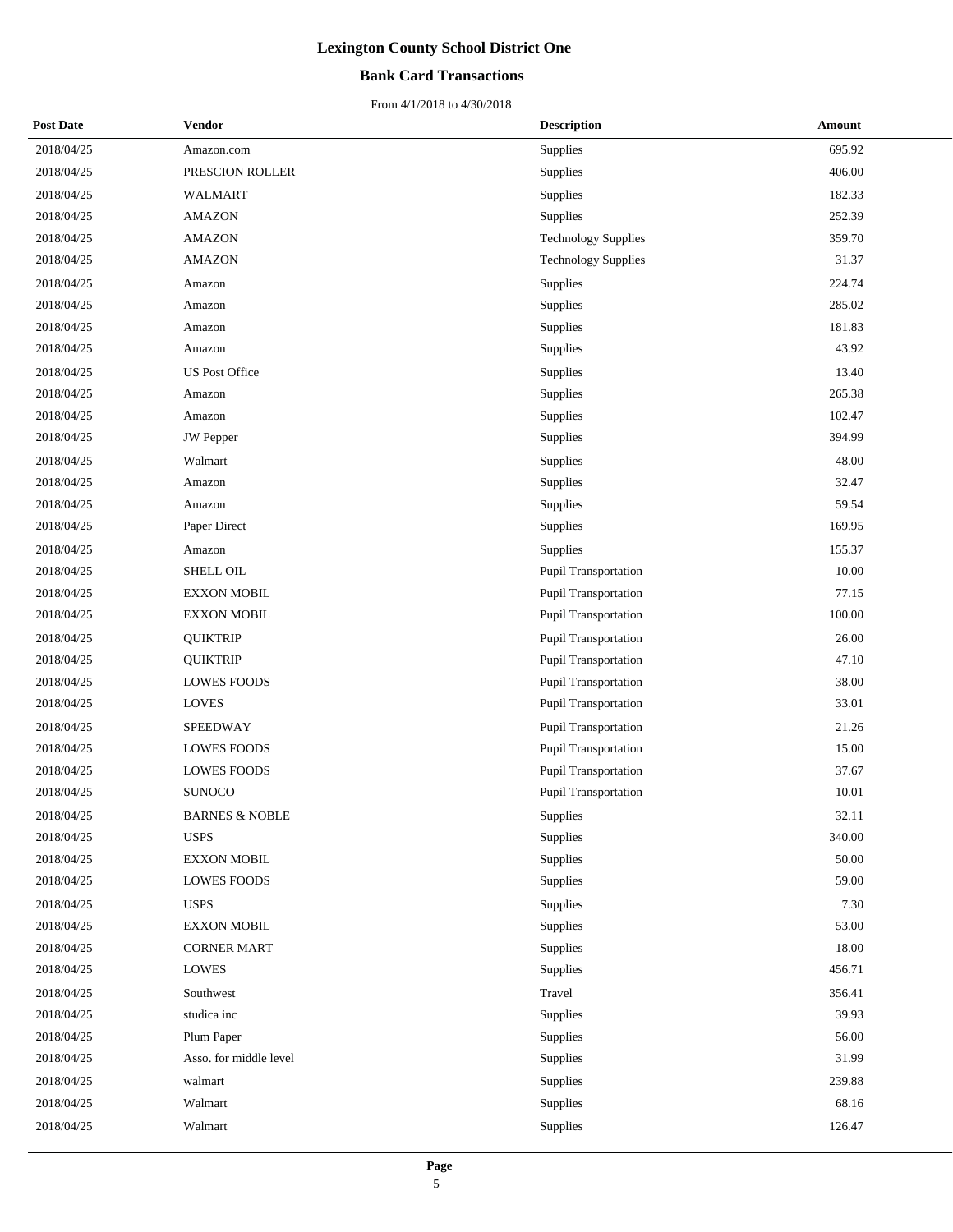### **Bank Card Transactions**

| <b>Post Date</b> | Vendor                    | <b>Description</b>          | Amount |
|------------------|---------------------------|-----------------------------|--------|
| 2018/04/25       | Amazon.com                | Supplies                    | 695.92 |
| 2018/04/25       | PRESCION ROLLER           | Supplies                    | 406.00 |
| 2018/04/25       | WALMART                   | Supplies                    | 182.33 |
| 2018/04/25       | <b>AMAZON</b>             | Supplies                    | 252.39 |
| 2018/04/25       | <b>AMAZON</b>             | <b>Technology Supplies</b>  | 359.70 |
| 2018/04/25       | <b>AMAZON</b>             | <b>Technology Supplies</b>  | 31.37  |
| 2018/04/25       | Amazon                    | Supplies                    | 224.74 |
| 2018/04/25       | Amazon                    | Supplies                    | 285.02 |
| 2018/04/25       | Amazon                    | Supplies                    | 181.83 |
| 2018/04/25       | Amazon                    | Supplies                    | 43.92  |
| 2018/04/25       | <b>US Post Office</b>     | Supplies                    | 13.40  |
| 2018/04/25       | Amazon                    | Supplies                    | 265.38 |
| 2018/04/25       | Amazon                    | Supplies                    | 102.47 |
| 2018/04/25       | <b>JW</b> Pepper          | Supplies                    | 394.99 |
| 2018/04/25       | Walmart                   | Supplies                    | 48.00  |
| 2018/04/25       | Amazon                    | Supplies                    | 32.47  |
| 2018/04/25       | Amazon                    | Supplies                    | 59.54  |
| 2018/04/25       | Paper Direct              | Supplies                    | 169.95 |
| 2018/04/25       | Amazon                    | Supplies                    | 155.37 |
| 2018/04/25       | <b>SHELL OIL</b>          | Pupil Transportation        | 10.00  |
| 2018/04/25       | <b>EXXON MOBIL</b>        | Pupil Transportation        | 77.15  |
| 2018/04/25       | <b>EXXON MOBIL</b>        | Pupil Transportation        | 100.00 |
| 2018/04/25       | <b>QUIKTRIP</b>           | <b>Pupil Transportation</b> | 26.00  |
| 2018/04/25       | <b>QUIKTRIP</b>           | Pupil Transportation        | 47.10  |
| 2018/04/25       | <b>LOWES FOODS</b>        | Pupil Transportation        | 38.00  |
| 2018/04/25       | <b>LOVES</b>              | Pupil Transportation        | 33.01  |
| 2018/04/25       | SPEEDWAY                  | Pupil Transportation        | 21.26  |
| 2018/04/25       | <b>LOWES FOODS</b>        | Pupil Transportation        | 15.00  |
| 2018/04/25       | <b>LOWES FOODS</b>        | Pupil Transportation        | 37.67  |
| 2018/04/25       | <b>SUNOCO</b>             | Pupil Transportation        | 10.01  |
| 2018/04/25       | <b>BARNES &amp; NOBLE</b> | Supplies                    | 32.11  |
| 2018/04/25       | <b>USPS</b>               | Supplies                    | 340.00 |
| 2018/04/25       | <b>EXXON MOBIL</b>        | Supplies                    | 50.00  |
| 2018/04/25       | <b>LOWES FOODS</b>        | Supplies                    | 59.00  |
| 2018/04/25       | <b>USPS</b>               | Supplies                    | 7.30   |
| 2018/04/25       | <b>EXXON MOBIL</b>        | Supplies                    | 53.00  |
| 2018/04/25       | <b>CORNER MART</b>        | Supplies                    | 18.00  |
| 2018/04/25       | <b>LOWES</b>              | Supplies                    | 456.71 |
| 2018/04/25       | Southwest                 | Travel                      | 356.41 |
| 2018/04/25       | studica inc               | Supplies                    | 39.93  |
| 2018/04/25       | Plum Paper                | Supplies                    | 56.00  |
| 2018/04/25       | Asso. for middle level    | Supplies                    | 31.99  |
| 2018/04/25       | walmart                   | Supplies                    | 239.88 |
| 2018/04/25       | Walmart                   | Supplies                    | 68.16  |
| 2018/04/25       | Walmart                   | Supplies                    | 126.47 |
|                  |                           |                             |        |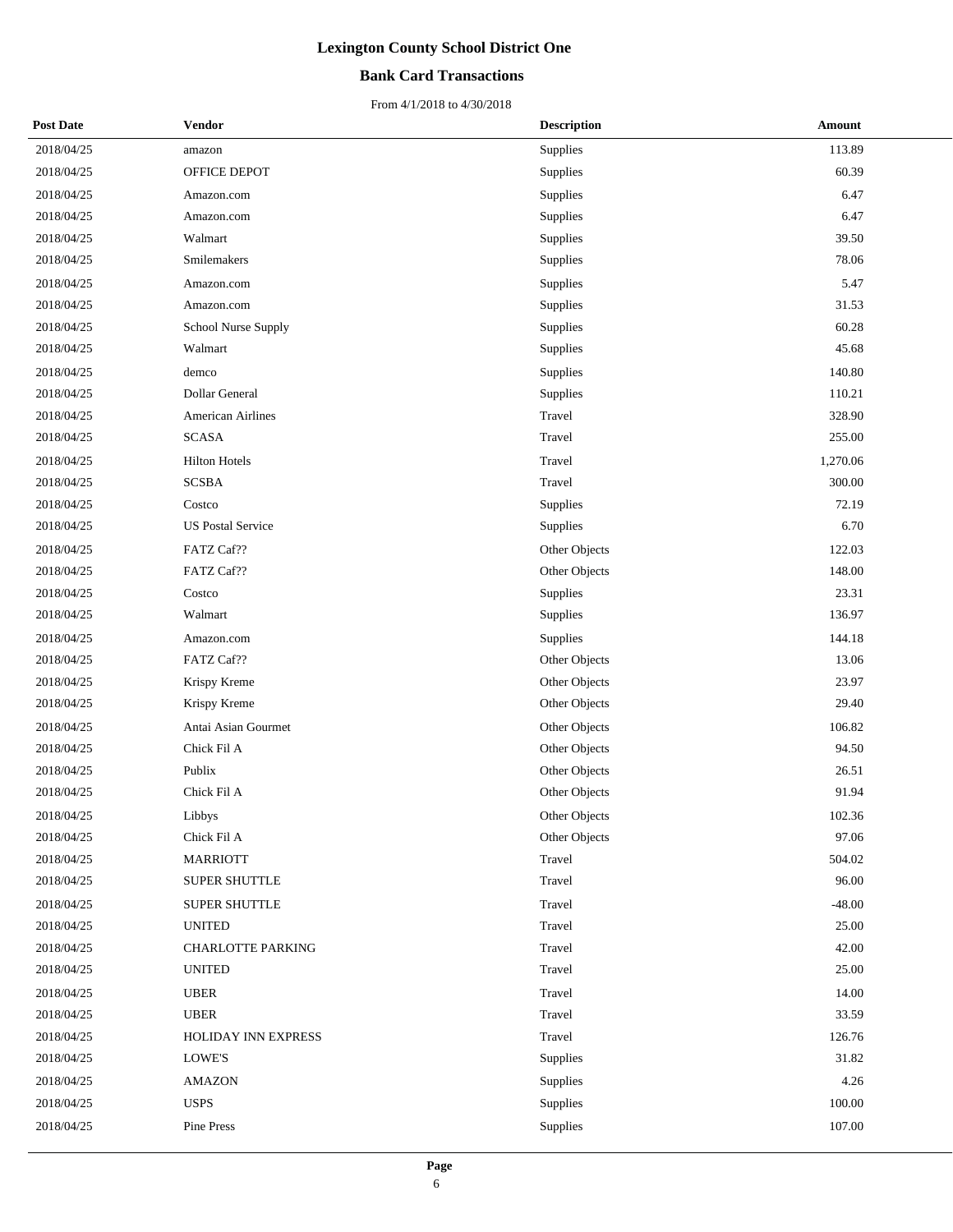### **Bank Card Transactions**

| <b>Post Date</b> | Vendor                   | <b>Description</b> | Amount   |
|------------------|--------------------------|--------------------|----------|
| 2018/04/25       | amazon                   | Supplies           | 113.89   |
| 2018/04/25       | OFFICE DEPOT             | Supplies           | 60.39    |
| 2018/04/25       | Amazon.com               | Supplies           | 6.47     |
| 2018/04/25       | Amazon.com               | Supplies           | 6.47     |
| 2018/04/25       | Walmart                  | Supplies           | 39.50    |
| 2018/04/25       | Smilemakers              | Supplies           | 78.06    |
| 2018/04/25       | Amazon.com               | Supplies           | 5.47     |
| 2018/04/25       | Amazon.com               | Supplies           | 31.53    |
| 2018/04/25       | School Nurse Supply      | Supplies           | 60.28    |
| 2018/04/25       | Walmart                  | Supplies           | 45.68    |
| 2018/04/25       | demco                    | Supplies           | 140.80   |
| 2018/04/25       | Dollar General           | Supplies           | 110.21   |
| 2018/04/25       | <b>American Airlines</b> | Travel             | 328.90   |
| 2018/04/25       | SCASA                    | Travel             | 255.00   |
| 2018/04/25       | <b>Hilton Hotels</b>     | Travel             | 1,270.06 |
| 2018/04/25       | <b>SCSBA</b>             | Travel             | 300.00   |
| 2018/04/25       | Costco                   | Supplies           | 72.19    |
| 2018/04/25       | <b>US Postal Service</b> | Supplies           | 6.70     |
| 2018/04/25       | FATZ Caf??               | Other Objects      | 122.03   |
| 2018/04/25       | FATZ Caf??               | Other Objects      | 148.00   |
| 2018/04/25       | Costco                   | Supplies           | 23.31    |
| 2018/04/25       | Walmart                  | Supplies           | 136.97   |
| 2018/04/25       | Amazon.com               | Supplies           | 144.18   |
| 2018/04/25       | FATZ Caf??               | Other Objects      | 13.06    |
| 2018/04/25       | Krispy Kreme             | Other Objects      | 23.97    |
| 2018/04/25       | Krispy Kreme             | Other Objects      | 29.40    |
| 2018/04/25       | Antai Asian Gourmet      | Other Objects      | 106.82   |
| 2018/04/25       | Chick Fil A              | Other Objects      | 94.50    |
| 2018/04/25       | Publix                   | Other Objects      | 26.51    |
| 2018/04/25       | Chick Fil A              | Other Objects      | 91.94    |
| 2018/04/25       | Libbys                   | Other Objects      | 102.36   |
| 2018/04/25       | Chick Fil A              | Other Objects      | 97.06    |
| 2018/04/25       | <b>MARRIOTT</b>          | Travel             | 504.02   |
| 2018/04/25       | <b>SUPER SHUTTLE</b>     | Travel             | 96.00    |
| 2018/04/25       | <b>SUPER SHUTTLE</b>     | Travel             | $-48.00$ |
| 2018/04/25       | <b>UNITED</b>            | Travel             | 25.00    |
| 2018/04/25       | <b>CHARLOTTE PARKING</b> | Travel             | 42.00    |
| 2018/04/25       | <b>UNITED</b>            | Travel             | 25.00    |
| 2018/04/25       | <b>UBER</b>              | Travel             | 14.00    |
| 2018/04/25       | <b>UBER</b>              | Travel             | 33.59    |
| 2018/04/25       | HOLIDAY INN EXPRESS      | Travel             | 126.76   |
| 2018/04/25       | LOWE'S                   | Supplies           | 31.82    |
| 2018/04/25       | <b>AMAZON</b>            | Supplies           | 4.26     |
| 2018/04/25       | <b>USPS</b>              | Supplies           | 100.00   |
| 2018/04/25       | Pine Press               | Supplies           | 107.00   |
|                  |                          |                    |          |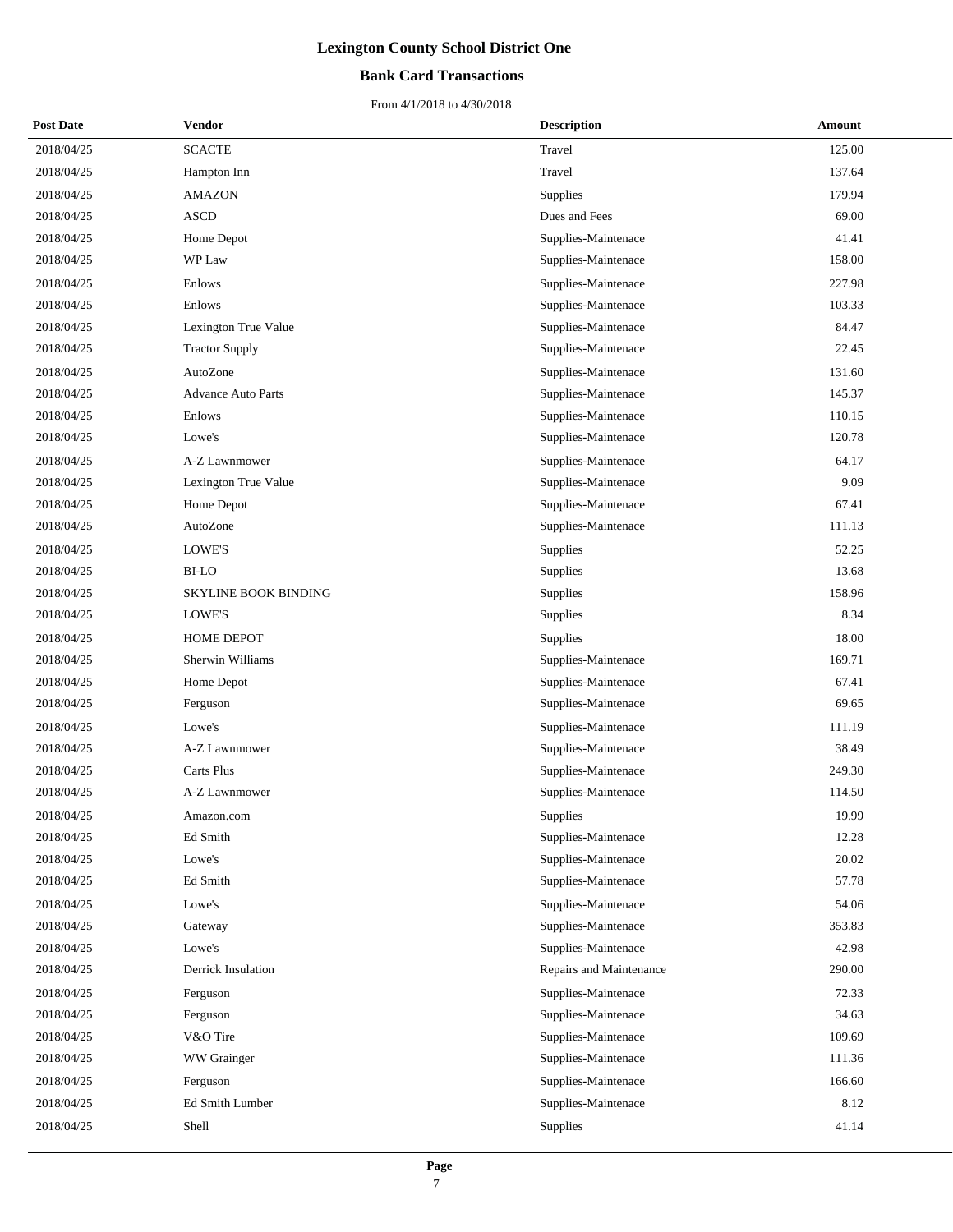### **Bank Card Transactions**

| <b>Post Date</b> | <b>Vendor</b>               | <b>Description</b>      | Amount |
|------------------|-----------------------------|-------------------------|--------|
| 2018/04/25       | <b>SCACTE</b>               | Travel                  | 125.00 |
| 2018/04/25       | Hampton Inn                 | Travel                  | 137.64 |
| 2018/04/25       | <b>AMAZON</b>               | Supplies                | 179.94 |
| 2018/04/25       | <b>ASCD</b>                 | Dues and Fees           | 69.00  |
| 2018/04/25       | Home Depot                  | Supplies-Maintenace     | 41.41  |
| 2018/04/25       | WP Law                      | Supplies-Maintenace     | 158.00 |
| 2018/04/25       | Enlows                      | Supplies-Maintenace     | 227.98 |
| 2018/04/25       | Enlows                      | Supplies-Maintenace     | 103.33 |
| 2018/04/25       | Lexington True Value        | Supplies-Maintenace     | 84.47  |
| 2018/04/25       | <b>Tractor Supply</b>       | Supplies-Maintenace     | 22.45  |
| 2018/04/25       | AutoZone                    | Supplies-Maintenace     | 131.60 |
| 2018/04/25       | <b>Advance Auto Parts</b>   | Supplies-Maintenace     | 145.37 |
| 2018/04/25       | Enlows                      | Supplies-Maintenace     | 110.15 |
| 2018/04/25       | Lowe's                      | Supplies-Maintenace     | 120.78 |
| 2018/04/25       | A-Z Lawnmower               | Supplies-Maintenace     | 64.17  |
| 2018/04/25       | Lexington True Value        | Supplies-Maintenace     | 9.09   |
| 2018/04/25       | Home Depot                  | Supplies-Maintenace     | 67.41  |
| 2018/04/25       | AutoZone                    | Supplies-Maintenace     | 111.13 |
| 2018/04/25       | LOWE'S                      | Supplies                | 52.25  |
| 2018/04/25       | <b>BI-LO</b>                | Supplies                | 13.68  |
| 2018/04/25       | <b>SKYLINE BOOK BINDING</b> | Supplies                | 158.96 |
| 2018/04/25       | LOWE'S                      | Supplies                | 8.34   |
| 2018/04/25       | HOME DEPOT                  | Supplies                | 18.00  |
| 2018/04/25       | Sherwin Williams            | Supplies-Maintenace     | 169.71 |
| 2018/04/25       | Home Depot                  | Supplies-Maintenace     | 67.41  |
| 2018/04/25       | Ferguson                    | Supplies-Maintenace     | 69.65  |
| 2018/04/25       | Lowe's                      | Supplies-Maintenace     | 111.19 |
| 2018/04/25       | A-Z Lawnmower               | Supplies-Maintenace     | 38.49  |
| 2018/04/25       | Carts Plus                  | Supplies-Maintenace     | 249.30 |
| 2018/04/25       | A-Z Lawnmower               | Supplies-Maintenace     | 114.50 |
| 2018/04/25       | Amazon.com                  | Supplies                | 19.99  |
| 2018/04/25       | Ed Smith                    | Supplies-Maintenace     | 12.28  |
| 2018/04/25       | Lowe's                      | Supplies-Maintenace     | 20.02  |
| 2018/04/25       | Ed Smith                    | Supplies-Maintenace     | 57.78  |
| 2018/04/25       | Lowe's                      | Supplies-Maintenace     | 54.06  |
| 2018/04/25       | Gateway                     | Supplies-Maintenace     | 353.83 |
| 2018/04/25       | Lowe's                      | Supplies-Maintenace     | 42.98  |
| 2018/04/25       | Derrick Insulation          | Repairs and Maintenance | 290.00 |
| 2018/04/25       | Ferguson                    | Supplies-Maintenace     | 72.33  |
| 2018/04/25       | Ferguson                    | Supplies-Maintenace     | 34.63  |
| 2018/04/25       | V&O Tire                    | Supplies-Maintenace     | 109.69 |
| 2018/04/25       | WW Grainger                 | Supplies-Maintenace     | 111.36 |
| 2018/04/25       | Ferguson                    | Supplies-Maintenace     | 166.60 |
| 2018/04/25       | Ed Smith Lumber             | Supplies-Maintenace     | 8.12   |
| 2018/04/25       | Shell                       | Supplies                | 41.14  |
|                  |                             |                         |        |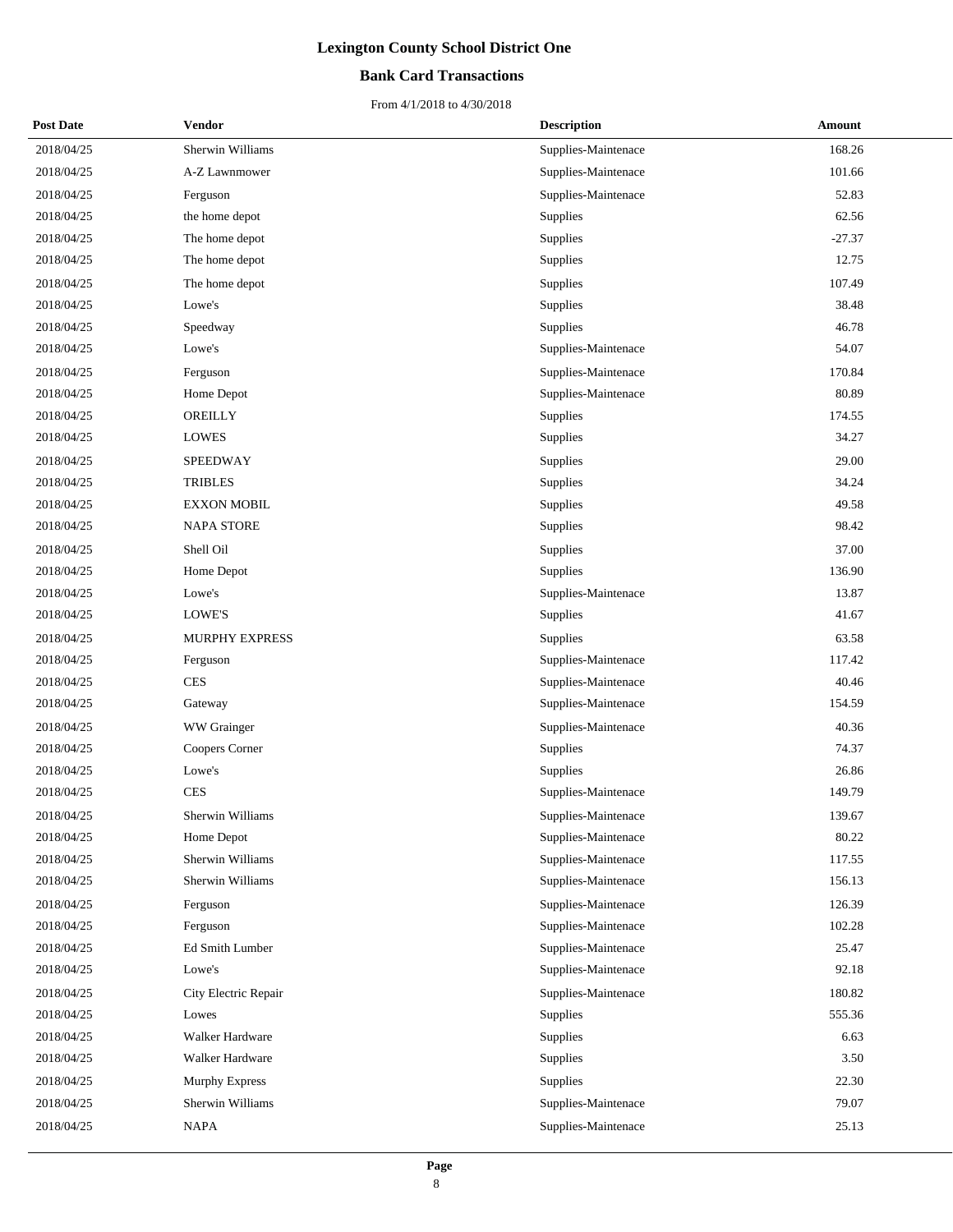### **Bank Card Transactions**

| <b>Post Date</b> | <b>Vendor</b>        | <b>Description</b>  | <b>Amount</b> |
|------------------|----------------------|---------------------|---------------|
| 2018/04/25       | Sherwin Williams     | Supplies-Maintenace | 168.26        |
| 2018/04/25       | A-Z Lawnmower        | Supplies-Maintenace | 101.66        |
| 2018/04/25       | Ferguson             | Supplies-Maintenace | 52.83         |
| 2018/04/25       | the home depot       | Supplies            | 62.56         |
| 2018/04/25       | The home depot       | Supplies            | $-27.37$      |
| 2018/04/25       | The home depot       | Supplies            | 12.75         |
| 2018/04/25       | The home depot       | Supplies            | 107.49        |
| 2018/04/25       | Lowe's               | Supplies            | 38.48         |
| 2018/04/25       | Speedway             | Supplies            | 46.78         |
| 2018/04/25       | Lowe's               | Supplies-Maintenace | 54.07         |
| 2018/04/25       | Ferguson             | Supplies-Maintenace | 170.84        |
| 2018/04/25       | Home Depot           | Supplies-Maintenace | 80.89         |
| 2018/04/25       | OREILLY              | Supplies            | 174.55        |
| 2018/04/25       | <b>LOWES</b>         | Supplies            | 34.27         |
| 2018/04/25       | <b>SPEEDWAY</b>      | Supplies            | 29.00         |
| 2018/04/25       | <b>TRIBLES</b>       | Supplies            | 34.24         |
| 2018/04/25       | <b>EXXON MOBIL</b>   | Supplies            | 49.58         |
| 2018/04/25       | <b>NAPA STORE</b>    | Supplies            | 98.42         |
| 2018/04/25       | Shell Oil            | Supplies            | 37.00         |
| 2018/04/25       | Home Depot           | Supplies            | 136.90        |
| 2018/04/25       | Lowe's               | Supplies-Maintenace | 13.87         |
| 2018/04/25       | LOWE'S               | Supplies            | 41.67         |
| 2018/04/25       | MURPHY EXPRESS       | Supplies            | 63.58         |
| 2018/04/25       | Ferguson             | Supplies-Maintenace | 117.42        |
| 2018/04/25       | <b>CES</b>           | Supplies-Maintenace | 40.46         |
| 2018/04/25       | Gateway              | Supplies-Maintenace | 154.59        |
| 2018/04/25       | WW Grainger          | Supplies-Maintenace | 40.36         |
| 2018/04/25       | Coopers Corner       | Supplies            | 74.37         |
| 2018/04/25       | Lowe's               | Supplies            | 26.86         |
| 2018/04/25       | <b>CES</b>           | Supplies-Maintenace | 149.79        |
| 2018/04/25       | Sherwin Williams     | Supplies-Maintenace | 139.67        |
| 2018/04/25       | Home Depot           | Supplies-Maintenace | 80.22         |
| 2018/04/25       | Sherwin Williams     | Supplies-Maintenace | 117.55        |
| 2018/04/25       | Sherwin Williams     | Supplies-Maintenace | 156.13        |
| 2018/04/25       | Ferguson             | Supplies-Maintenace | 126.39        |
| 2018/04/25       | Ferguson             | Supplies-Maintenace | 102.28        |
| 2018/04/25       | Ed Smith Lumber      | Supplies-Maintenace | 25.47         |
| 2018/04/25       | Lowe's               | Supplies-Maintenace | 92.18         |
| 2018/04/25       | City Electric Repair | Supplies-Maintenace | 180.82        |
| 2018/04/25       | Lowes                | Supplies            | 555.36        |
| 2018/04/25       | Walker Hardware      | Supplies            | 6.63          |
| 2018/04/25       | Walker Hardware      | Supplies            | 3.50          |
| 2018/04/25       | Murphy Express       | Supplies            | 22.30         |
| 2018/04/25       | Sherwin Williams     | Supplies-Maintenace | 79.07         |
| 2018/04/25       | <b>NAPA</b>          | Supplies-Maintenace | 25.13         |
|                  |                      |                     |               |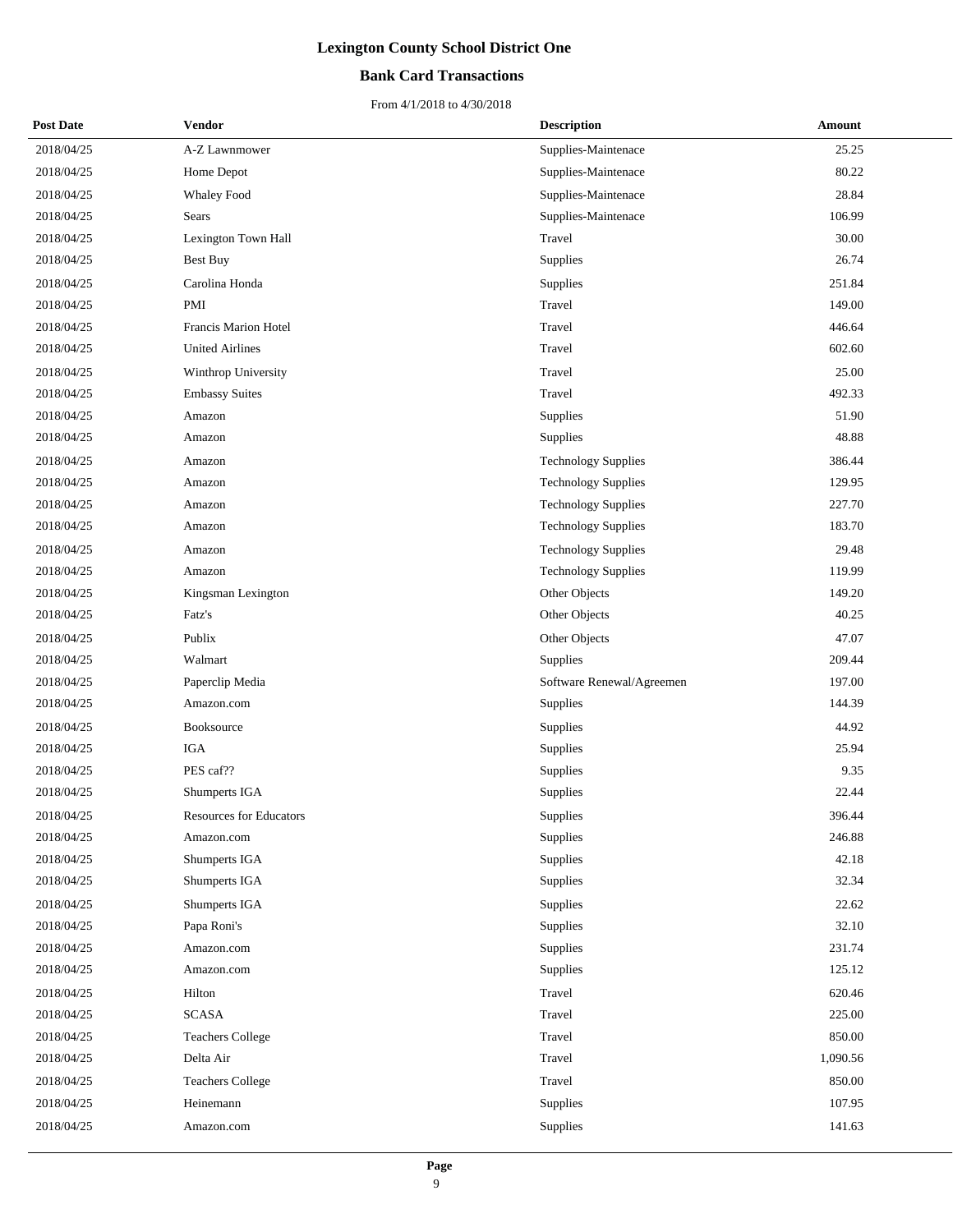### **Bank Card Transactions**

| <b>Post Date</b> | Vendor                         | <b>Description</b>         | Amount   |
|------------------|--------------------------------|----------------------------|----------|
| 2018/04/25       | A-Z Lawnmower                  | Supplies-Maintenace        | 25.25    |
| 2018/04/25       | Home Depot                     | Supplies-Maintenace        | 80.22    |
| 2018/04/25       | <b>Whaley Food</b>             | Supplies-Maintenace        | 28.84    |
| 2018/04/25       | Sears                          | Supplies-Maintenace        | 106.99   |
| 2018/04/25       | Lexington Town Hall            | Travel                     | 30.00    |
| 2018/04/25       | <b>Best Buy</b>                | Supplies                   | 26.74    |
| 2018/04/25       | Carolina Honda                 | Supplies                   | 251.84   |
| 2018/04/25       | PMI                            | Travel                     | 149.00   |
| 2018/04/25       | Francis Marion Hotel           | Travel                     | 446.64   |
| 2018/04/25       | <b>United Airlines</b>         | Travel                     | 602.60   |
| 2018/04/25       | Winthrop University            | Travel                     | 25.00    |
| 2018/04/25       | <b>Embassy Suites</b>          | Travel                     | 492.33   |
| 2018/04/25       | Amazon                         | Supplies                   | 51.90    |
| 2018/04/25       | Amazon                         | Supplies                   | 48.88    |
| 2018/04/25       | Amazon                         | <b>Technology Supplies</b> | 386.44   |
| 2018/04/25       | Amazon                         | <b>Technology Supplies</b> | 129.95   |
| 2018/04/25       | Amazon                         | <b>Technology Supplies</b> | 227.70   |
| 2018/04/25       | Amazon                         | <b>Technology Supplies</b> | 183.70   |
| 2018/04/25       | Amazon                         | <b>Technology Supplies</b> | 29.48    |
| 2018/04/25       | Amazon                         | <b>Technology Supplies</b> | 119.99   |
| 2018/04/25       | Kingsman Lexington             | Other Objects              | 149.20   |
| 2018/04/25       | Fatz's                         | Other Objects              | 40.25    |
| 2018/04/25       | Publix                         | Other Objects              | 47.07    |
| 2018/04/25       | Walmart                        | Supplies                   | 209.44   |
| 2018/04/25       | Paperclip Media                | Software Renewal/Agreemen  | 197.00   |
| 2018/04/25       | Amazon.com                     | Supplies                   | 144.39   |
| 2018/04/25       | Booksource                     | Supplies                   | 44.92    |
| 2018/04/25       | <b>IGA</b>                     | Supplies                   | 25.94    |
| 2018/04/25       | PES caf??                      | Supplies                   | 9.35     |
| 2018/04/25       | Shumperts IGA                  | Supplies                   | 22.44    |
| 2018/04/25       | <b>Resources for Educators</b> | Supplies                   | 396.44   |
| 2018/04/25       | Amazon.com                     | Supplies                   | 246.88   |
| 2018/04/25       | Shumperts IGA                  | Supplies                   | 42.18    |
| 2018/04/25       | Shumperts IGA                  | Supplies                   | 32.34    |
| 2018/04/25       | Shumperts IGA                  | Supplies                   | 22.62    |
| 2018/04/25       | Papa Roni's                    | Supplies                   | 32.10    |
| 2018/04/25       | Amazon.com                     | Supplies                   | 231.74   |
| 2018/04/25       | Amazon.com                     | Supplies                   | 125.12   |
| 2018/04/25       | Hilton                         | Travel                     | 620.46   |
| 2018/04/25       | <b>SCASA</b>                   | Travel                     | 225.00   |
| 2018/04/25       | <b>Teachers College</b>        | Travel                     | 850.00   |
| 2018/04/25       | Delta Air                      | Travel                     | 1,090.56 |
| 2018/04/25       | <b>Teachers College</b>        | Travel                     | 850.00   |
| 2018/04/25       | Heinemann                      | Supplies                   | 107.95   |
| 2018/04/25       | Amazon.com                     | Supplies                   | 141.63   |
|                  |                                |                            |          |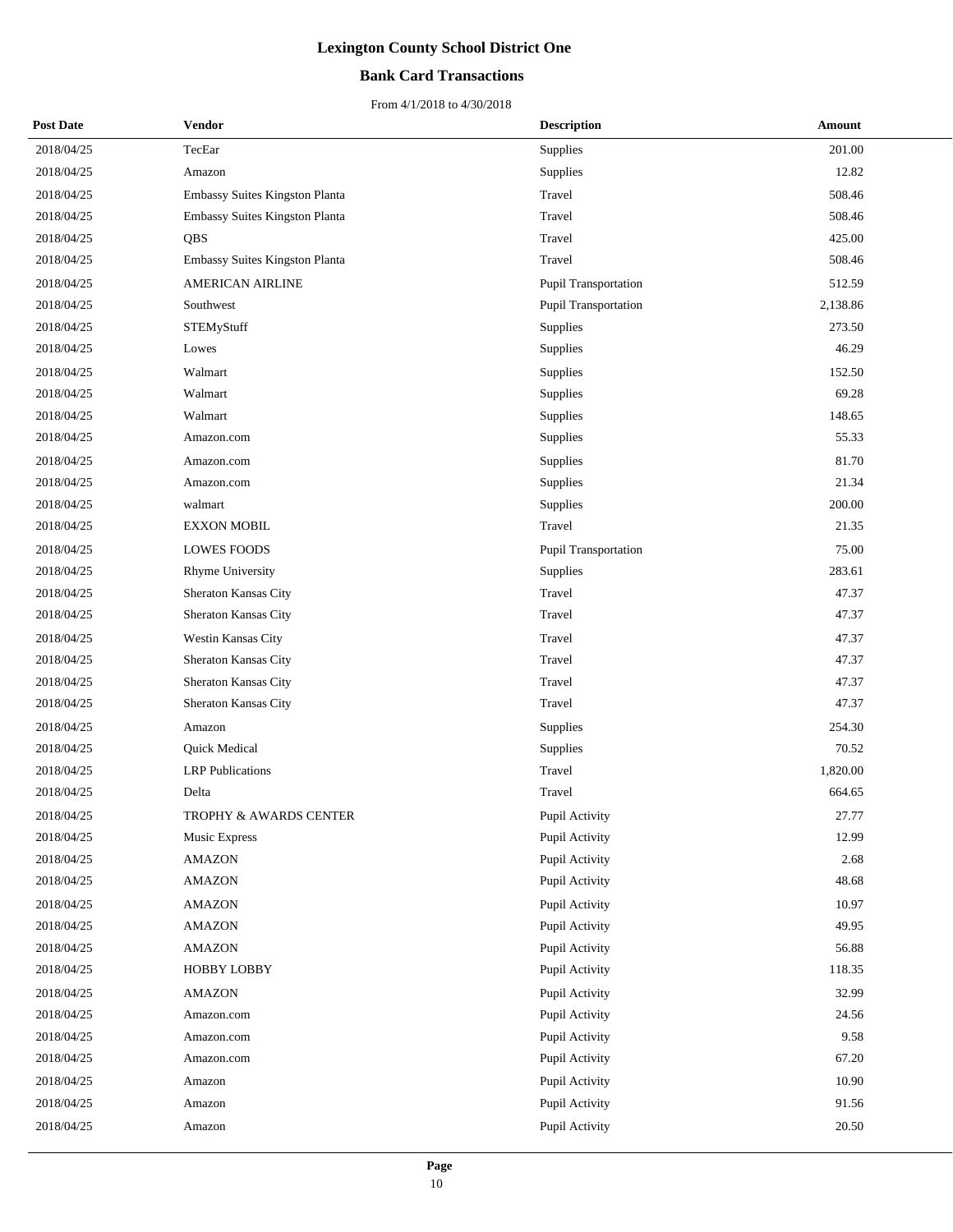### **Bank Card Transactions**

| <b>Post Date</b> | <b>Vendor</b>                  | <b>Description</b>          | <b>Amount</b> |
|------------------|--------------------------------|-----------------------------|---------------|
| 2018/04/25       | TecEar                         | Supplies                    | 201.00        |
| 2018/04/25       | Amazon                         | Supplies                    | 12.82         |
| 2018/04/25       | Embassy Suites Kingston Planta | Travel                      | 508.46        |
| 2018/04/25       | Embassy Suites Kingston Planta | Travel                      | 508.46        |
| 2018/04/25       | <b>QBS</b>                     | Travel                      | 425.00        |
| 2018/04/25       | Embassy Suites Kingston Planta | Travel                      | 508.46        |
| 2018/04/25       | <b>AMERICAN AIRLINE</b>        | Pupil Transportation        | 512.59        |
| 2018/04/25       | Southwest                      | Pupil Transportation        | 2,138.86      |
| 2018/04/25       | STEMyStuff                     | Supplies                    | 273.50        |
| 2018/04/25       | Lowes                          | Supplies                    | 46.29         |
| 2018/04/25       | Walmart                        | Supplies                    | 152.50        |
| 2018/04/25       | Walmart                        | Supplies                    | 69.28         |
| 2018/04/25       | Walmart                        | Supplies                    | 148.65        |
| 2018/04/25       | Amazon.com                     | Supplies                    | 55.33         |
| 2018/04/25       | Amazon.com                     | Supplies                    | 81.70         |
| 2018/04/25       | Amazon.com                     | Supplies                    | 21.34         |
| 2018/04/25       | walmart                        | Supplies                    | 200.00        |
| 2018/04/25       | <b>EXXON MOBIL</b>             | Travel                      | 21.35         |
| 2018/04/25       | <b>LOWES FOODS</b>             | <b>Pupil Transportation</b> | 75.00         |
| 2018/04/25       | <b>Rhyme University</b>        | Supplies                    | 283.61        |
| 2018/04/25       | Sheraton Kansas City           | Travel                      | 47.37         |
| 2018/04/25       | Sheraton Kansas City           | Travel                      | 47.37         |
| 2018/04/25       | Westin Kansas City             | Travel                      | 47.37         |
| 2018/04/25       | Sheraton Kansas City           | Travel                      | 47.37         |
| 2018/04/25       | Sheraton Kansas City           | Travel                      | 47.37         |
| 2018/04/25       | Sheraton Kansas City           | Travel                      | 47.37         |
| 2018/04/25       | Amazon                         | <b>Supplies</b>             | 254.30        |
| 2018/04/25       | Quick Medical                  | Supplies                    | 70.52         |
| 2018/04/25       | <b>LRP</b> Publications        | Travel                      | 1,820.00      |
| 2018/04/25       | Delta                          | Travel                      | 664.65        |
| 2018/04/25       | TROPHY & AWARDS CENTER         | Pupil Activity              | 27.77         |
| 2018/04/25       | Music Express                  | Pupil Activity              | 12.99         |
| 2018/04/25       | <b>AMAZON</b>                  | Pupil Activity              | 2.68          |
| 2018/04/25       | <b>AMAZON</b>                  | Pupil Activity              | 48.68         |
| 2018/04/25       | <b>AMAZON</b>                  | Pupil Activity              | 10.97         |
| 2018/04/25       | <b>AMAZON</b>                  | Pupil Activity              | 49.95         |
| 2018/04/25       | <b>AMAZON</b>                  | Pupil Activity              | 56.88         |
| 2018/04/25       | <b>HOBBY LOBBY</b>             | Pupil Activity              | 118.35        |
| 2018/04/25       | <b>AMAZON</b>                  | Pupil Activity              | 32.99         |
| 2018/04/25       | Amazon.com                     | Pupil Activity              | 24.56         |
| 2018/04/25       | Amazon.com                     | Pupil Activity              | 9.58          |
| 2018/04/25       | Amazon.com                     | Pupil Activity              | 67.20         |
| 2018/04/25       | Amazon                         | Pupil Activity              | 10.90         |
| 2018/04/25       | Amazon                         | Pupil Activity              | 91.56         |
| 2018/04/25       | Amazon                         | Pupil Activity              | 20.50         |
|                  |                                |                             |               |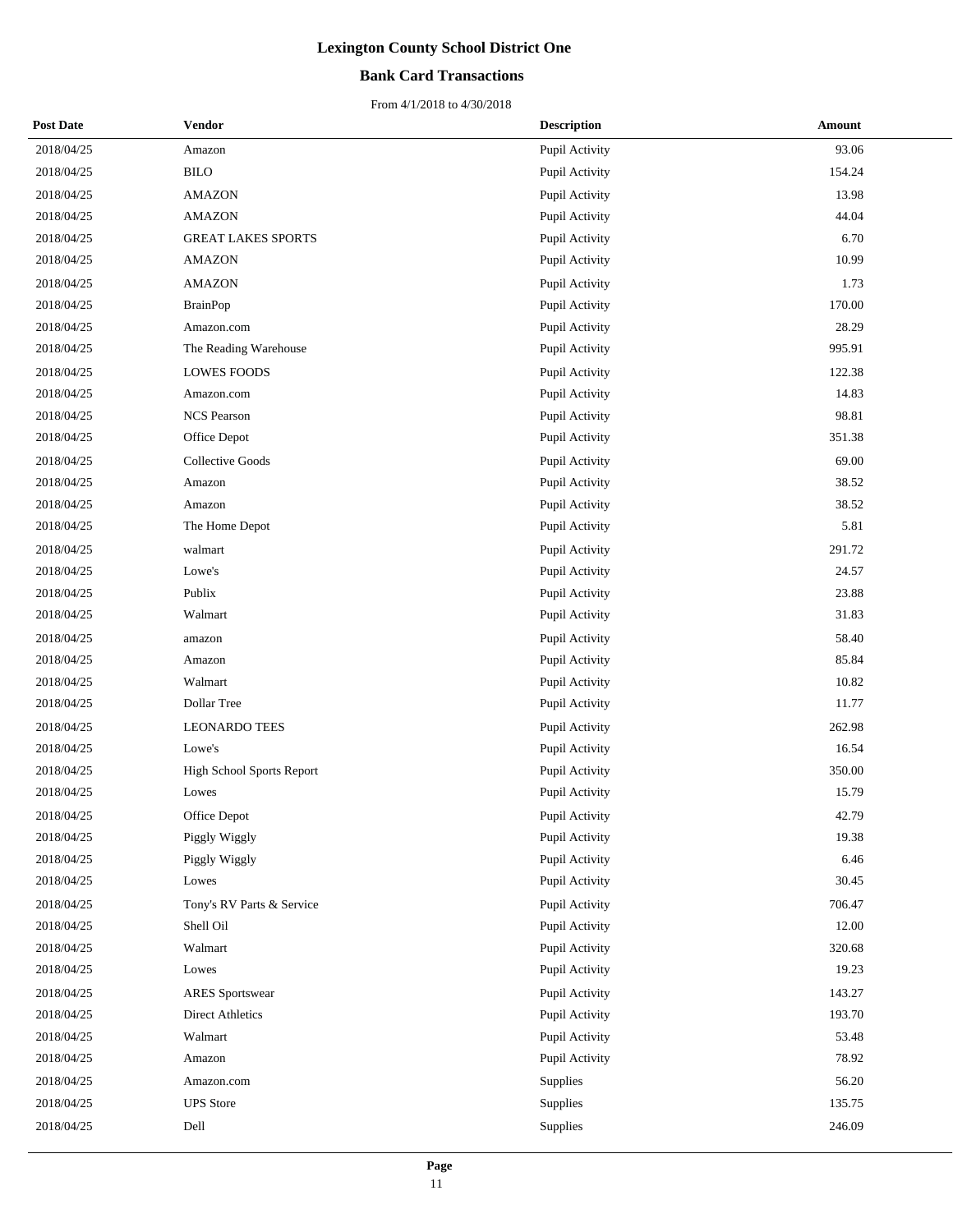### **Bank Card Transactions**

| <b>Post Date</b> | <b>Vendor</b>             | <b>Description</b> | <b>Amount</b> |
|------------------|---------------------------|--------------------|---------------|
| 2018/04/25       | Amazon                    | Pupil Activity     | 93.06         |
| 2018/04/25       | <b>BILO</b>               | Pupil Activity     | 154.24        |
| 2018/04/25       | <b>AMAZON</b>             | Pupil Activity     | 13.98         |
| 2018/04/25       | <b>AMAZON</b>             | Pupil Activity     | 44.04         |
| 2018/04/25       | <b>GREAT LAKES SPORTS</b> | Pupil Activity     | 6.70          |
| 2018/04/25       | <b>AMAZON</b>             | Pupil Activity     | 10.99         |
| 2018/04/25       | <b>AMAZON</b>             | Pupil Activity     | 1.73          |
| 2018/04/25       | <b>BrainPop</b>           | Pupil Activity     | 170.00        |
| 2018/04/25       | Amazon.com                | Pupil Activity     | 28.29         |
| 2018/04/25       | The Reading Warehouse     | Pupil Activity     | 995.91        |
| 2018/04/25       | <b>LOWES FOODS</b>        | Pupil Activity     | 122.38        |
| 2018/04/25       | Amazon.com                | Pupil Activity     | 14.83         |
| 2018/04/25       | <b>NCS Pearson</b>        | Pupil Activity     | 98.81         |
| 2018/04/25       | Office Depot              | Pupil Activity     | 351.38        |
| 2018/04/25       | <b>Collective Goods</b>   | Pupil Activity     | 69.00         |
| 2018/04/25       | Amazon                    | Pupil Activity     | 38.52         |
| 2018/04/25       | Amazon                    | Pupil Activity     | 38.52         |
| 2018/04/25       | The Home Depot            | Pupil Activity     | 5.81          |
| 2018/04/25       | walmart                   | Pupil Activity     | 291.72        |
| 2018/04/25       | Lowe's                    | Pupil Activity     | 24.57         |
| 2018/04/25       | Publix                    | Pupil Activity     | 23.88         |
| 2018/04/25       | Walmart                   | Pupil Activity     | 31.83         |
| 2018/04/25       | amazon                    | Pupil Activity     | 58.40         |
| 2018/04/25       | Amazon                    | Pupil Activity     | 85.84         |
| 2018/04/25       | Walmart                   | Pupil Activity     | 10.82         |
| 2018/04/25       | Dollar Tree               | Pupil Activity     | 11.77         |
| 2018/04/25       | <b>LEONARDO TEES</b>      | Pupil Activity     | 262.98        |
| 2018/04/25       | Lowe's                    | Pupil Activity     | 16.54         |
| 2018/04/25       | High School Sports Report | Pupil Activity     | 350.00        |
| 2018/04/25       | Lowes                     | Pupil Activity     | 15.79         |
| 2018/04/25       | Office Depot              | Pupil Activity     | 42.79         |
| 2018/04/25       | Piggly Wiggly             | Pupil Activity     | 19.38         |
| 2018/04/25       | Piggly Wiggly             | Pupil Activity     | 6.46          |
| 2018/04/25       | Lowes                     | Pupil Activity     | 30.45         |
| 2018/04/25       | Tony's RV Parts & Service | Pupil Activity     | 706.47        |
| 2018/04/25       | Shell Oil                 | Pupil Activity     | 12.00         |
| 2018/04/25       | Walmart                   | Pupil Activity     | 320.68        |
| 2018/04/25       | Lowes                     | Pupil Activity     | 19.23         |
| 2018/04/25       | <b>ARES</b> Sportswear    | Pupil Activity     | 143.27        |
| 2018/04/25       | <b>Direct Athletics</b>   | Pupil Activity     | 193.70        |
| 2018/04/25       | Walmart                   | Pupil Activity     | 53.48         |
| 2018/04/25       | Amazon                    | Pupil Activity     | 78.92         |
| 2018/04/25       | Amazon.com                | Supplies           | 56.20         |
| 2018/04/25       | <b>UPS</b> Store          | Supplies           | 135.75        |
| 2018/04/25       | Dell                      | Supplies           | 246.09        |
|                  |                           |                    |               |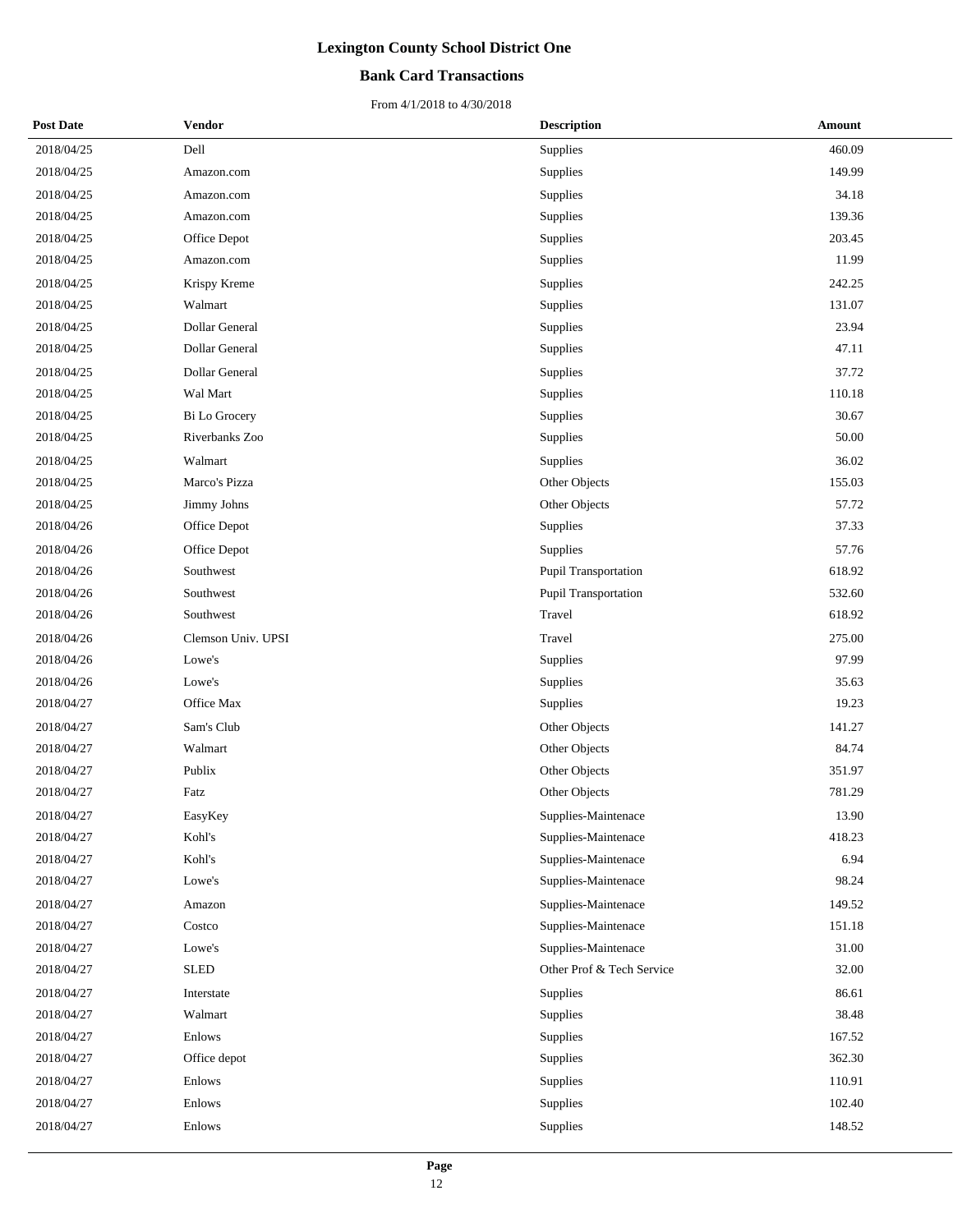### **Bank Card Transactions**

| <b>Post Date</b> | <b>Vendor</b>      | <b>Description</b>        | Amount |  |
|------------------|--------------------|---------------------------|--------|--|
| 2018/04/25       | Dell               | Supplies                  | 460.09 |  |
| 2018/04/25       | Amazon.com         | Supplies                  | 149.99 |  |
| 2018/04/25       | Amazon.com         | Supplies                  | 34.18  |  |
| 2018/04/25       | Amazon.com         | Supplies                  | 139.36 |  |
| 2018/04/25       | Office Depot       | Supplies                  | 203.45 |  |
| 2018/04/25       | Amazon.com         | Supplies                  | 11.99  |  |
| 2018/04/25       | Krispy Kreme       | Supplies                  | 242.25 |  |
| 2018/04/25       | Walmart            | Supplies                  | 131.07 |  |
| 2018/04/25       | Dollar General     | Supplies                  | 23.94  |  |
| 2018/04/25       | Dollar General     | Supplies                  | 47.11  |  |
| 2018/04/25       | Dollar General     | Supplies                  | 37.72  |  |
| 2018/04/25       | Wal Mart           | Supplies                  | 110.18 |  |
| 2018/04/25       | Bi Lo Grocery      | Supplies                  | 30.67  |  |
| 2018/04/25       | Riverbanks Zoo     | Supplies                  | 50.00  |  |
| 2018/04/25       | Walmart            | Supplies                  | 36.02  |  |
| 2018/04/25       | Marco's Pizza      | Other Objects             | 155.03 |  |
| 2018/04/25       | Jimmy Johns        | Other Objects             | 57.72  |  |
| 2018/04/26       | Office Depot       | Supplies                  | 37.33  |  |
| 2018/04/26       | Office Depot       | Supplies                  | 57.76  |  |
| 2018/04/26       | Southwest          | Pupil Transportation      | 618.92 |  |
| 2018/04/26       | Southwest          | Pupil Transportation      | 532.60 |  |
| 2018/04/26       | Southwest          | Travel                    | 618.92 |  |
| 2018/04/26       | Clemson Univ. UPSI | Travel                    | 275.00 |  |
| 2018/04/26       | Lowe's             | Supplies                  | 97.99  |  |
| 2018/04/26       | Lowe's             | Supplies                  | 35.63  |  |
| 2018/04/27       | Office Max         | Supplies                  | 19.23  |  |
| 2018/04/27       | Sam's Club         | Other Objects             | 141.27 |  |
| 2018/04/27       | Walmart            | Other Objects             | 84.74  |  |
| 2018/04/27       | Publix             | Other Objects             | 351.97 |  |
| 2018/04/27       | Fatz               | Other Objects             | 781.29 |  |
| 2018/04/27       | EasyKey            | Supplies-Maintenace       | 13.90  |  |
| 2018/04/27       | Kohl's             | Supplies-Maintenace       | 418.23 |  |
| 2018/04/27       | Kohl's             | Supplies-Maintenace       | 6.94   |  |
| 2018/04/27       | Lowe's             | Supplies-Maintenace       | 98.24  |  |
| 2018/04/27       | Amazon             | Supplies-Maintenace       | 149.52 |  |
| 2018/04/27       | Costco             | Supplies-Maintenace       | 151.18 |  |
| 2018/04/27       | Lowe's             | Supplies-Maintenace       | 31.00  |  |
| 2018/04/27       | <b>SLED</b>        | Other Prof & Tech Service | 32.00  |  |
| 2018/04/27       | Interstate         | Supplies                  | 86.61  |  |
| 2018/04/27       | Walmart            | Supplies                  | 38.48  |  |
| 2018/04/27       | Enlows             | Supplies                  | 167.52 |  |
| 2018/04/27       | Office depot       | Supplies                  | 362.30 |  |
| 2018/04/27       | Enlows             | Supplies                  | 110.91 |  |
| 2018/04/27       | Enlows             | Supplies                  | 102.40 |  |
| 2018/04/27       | Enlows             | Supplies                  | 148.52 |  |
|                  |                    |                           |        |  |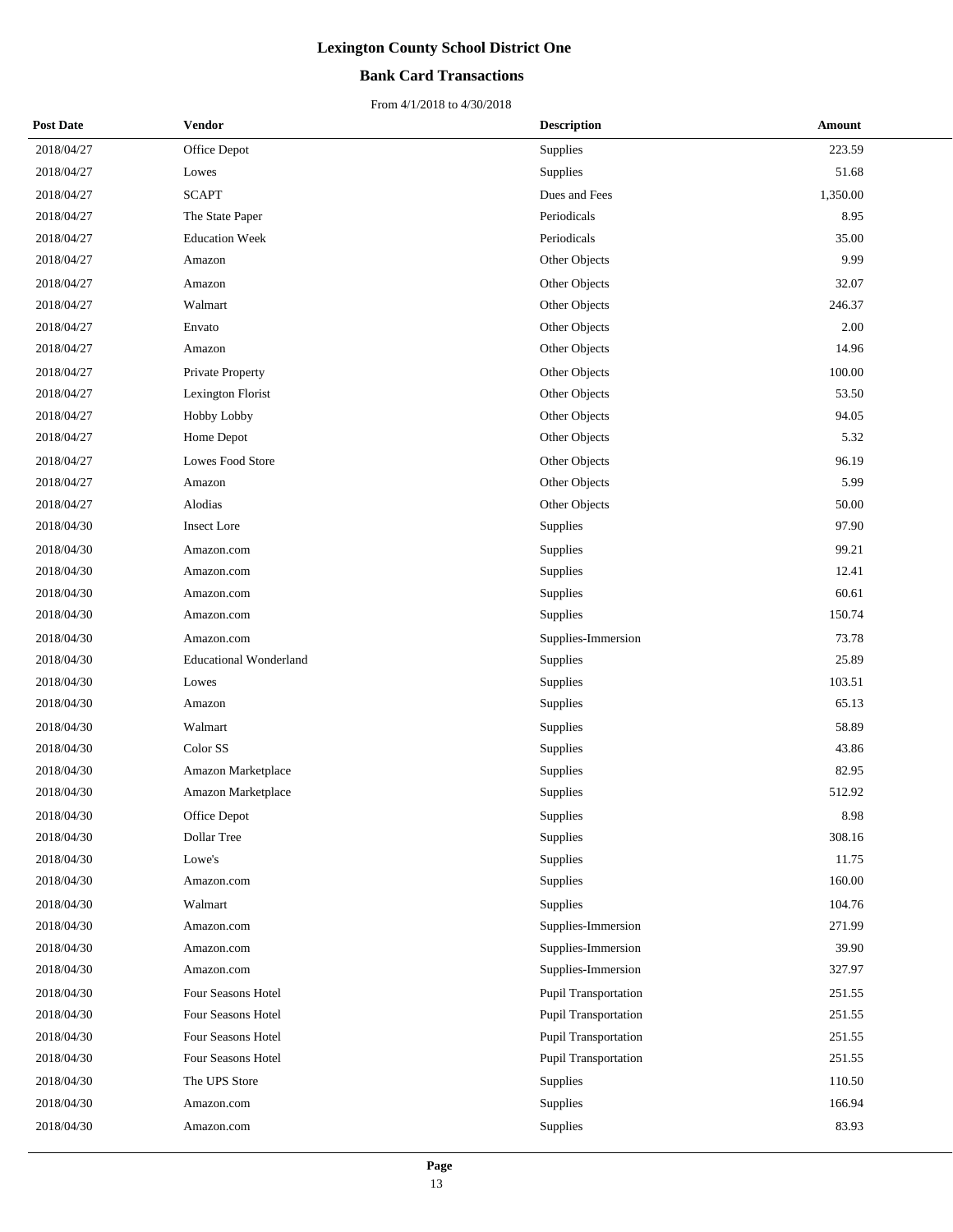#### **Bank Card Transactions**

| <b>Post Date</b> | <b>Vendor</b>                 | <b>Description</b>   | <b>Amount</b> |
|------------------|-------------------------------|----------------------|---------------|
| 2018/04/27       | Office Depot                  | Supplies             | 223.59        |
| 2018/04/27       | Lowes                         | Supplies             | 51.68         |
| 2018/04/27       | <b>SCAPT</b>                  | Dues and Fees        | 1,350.00      |
| 2018/04/27       | The State Paper               | Periodicals          | 8.95          |
| 2018/04/27       | <b>Education Week</b>         | Periodicals          | 35.00         |
| 2018/04/27       | Amazon                        | Other Objects        | 9.99          |
| 2018/04/27       | Amazon                        | Other Objects        | 32.07         |
| 2018/04/27       | Walmart                       | Other Objects        | 246.37        |
| 2018/04/27       | Envato                        | Other Objects        | 2.00          |
| 2018/04/27       | Amazon                        | Other Objects        | 14.96         |
| 2018/04/27       | Private Property              | Other Objects        | 100.00        |
| 2018/04/27       | Lexington Florist             | Other Objects        | 53.50         |
| 2018/04/27       | Hobby Lobby                   | Other Objects        | 94.05         |
| 2018/04/27       | Home Depot                    | Other Objects        | 5.32          |
| 2018/04/27       | Lowes Food Store              | Other Objects        | 96.19         |
| 2018/04/27       | Amazon                        | Other Objects        | 5.99          |
| 2018/04/27       | Alodias                       | Other Objects        | 50.00         |
| 2018/04/30       | <b>Insect Lore</b>            | Supplies             | 97.90         |
| 2018/04/30       | Amazon.com                    | Supplies             | 99.21         |
| 2018/04/30       | Amazon.com                    | Supplies             | 12.41         |
| 2018/04/30       | Amazon.com                    | Supplies             | 60.61         |
| 2018/04/30       | Amazon.com                    | Supplies             | 150.74        |
| 2018/04/30       | Amazon.com                    | Supplies-Immersion   | 73.78         |
| 2018/04/30       | <b>Educational Wonderland</b> | Supplies             | 25.89         |
| 2018/04/30       | Lowes                         | Supplies             | 103.51        |
| 2018/04/30       | Amazon                        | Supplies             | 65.13         |
| 2018/04/30       | Walmart                       | Supplies             | 58.89         |
| 2018/04/30       | Color SS                      | Supplies             | 43.86         |
| 2018/04/30       | Amazon Marketplace            | Supplies             | 82.95         |
| 2018/04/30       | Amazon Marketplace            | Supplies             | 512.92        |
| 2018/04/30       | Office Depot                  | Supplies             | 8.98          |
| 2018/04/30       | Dollar Tree                   | Supplies             | 308.16        |
| 2018/04/30       | Lowe's                        | Supplies             | 11.75         |
| 2018/04/30       | Amazon.com                    | Supplies             | 160.00        |
| 2018/04/30       | Walmart                       | Supplies             | 104.76        |
| 2018/04/30       | Amazon.com                    | Supplies-Immersion   | 271.99        |
| 2018/04/30       | Amazon.com                    | Supplies-Immersion   | 39.90         |
| 2018/04/30       | Amazon.com                    | Supplies-Immersion   | 327.97        |
| 2018/04/30       | Four Seasons Hotel            | Pupil Transportation | 251.55        |
| 2018/04/30       | Four Seasons Hotel            | Pupil Transportation | 251.55        |
| 2018/04/30       | Four Seasons Hotel            | Pupil Transportation | 251.55        |
| 2018/04/30       | Four Seasons Hotel            | Pupil Transportation | 251.55        |
| 2018/04/30       | The UPS Store                 | Supplies             | 110.50        |
| 2018/04/30       | Amazon.com                    | Supplies             | 166.94        |
| 2018/04/30       | Amazon.com                    | Supplies             | 83.93         |
|                  |                               |                      |               |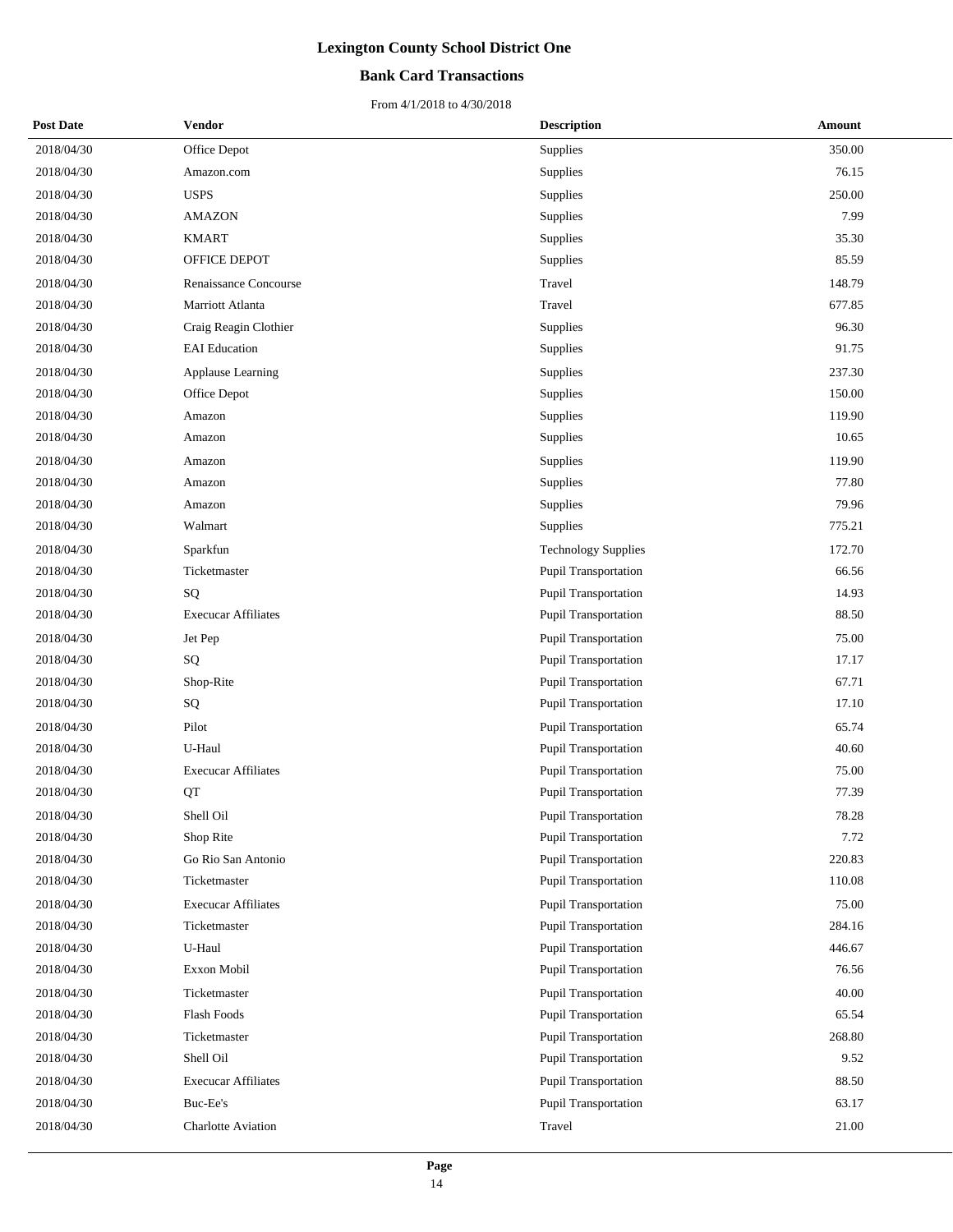#### **Bank Card Transactions**

| <b>Post Date</b> | Vendor                     |        | <b>Description</b>          | Amount |  |
|------------------|----------------------------|--------|-----------------------------|--------|--|
| 2018/04/30       | Office Depot               |        | Supplies                    | 350.00 |  |
| 2018/04/30       | Amazon.com                 |        | Supplies                    | 76.15  |  |
| 2018/04/30       | <b>USPS</b>                |        | Supplies                    | 250.00 |  |
| 2018/04/30       | <b>AMAZON</b>              |        | Supplies                    | 7.99   |  |
| 2018/04/30       | <b>KMART</b>               |        | Supplies                    | 35.30  |  |
| 2018/04/30       | OFFICE DEPOT               |        | Supplies                    | 85.59  |  |
| 2018/04/30       | Renaissance Concourse      | Travel |                             | 148.79 |  |
| 2018/04/30       | Marriott Atlanta           | Travel |                             | 677.85 |  |
| 2018/04/30       | Craig Reagin Clothier      |        | Supplies                    | 96.30  |  |
| 2018/04/30       | <b>EAI</b> Education       |        | Supplies                    | 91.75  |  |
| 2018/04/30       | Applause Learning          |        | Supplies                    | 237.30 |  |
| 2018/04/30       | Office Depot               |        | Supplies                    | 150.00 |  |
| 2018/04/30       | Amazon                     |        | Supplies                    | 119.90 |  |
| 2018/04/30       | Amazon                     |        | Supplies                    | 10.65  |  |
| 2018/04/30       | Amazon                     |        | Supplies                    | 119.90 |  |
| 2018/04/30       | Amazon                     |        | Supplies                    | 77.80  |  |
| 2018/04/30       | Amazon                     |        | Supplies                    | 79.96  |  |
| 2018/04/30       | Walmart                    |        | Supplies                    | 775.21 |  |
| 2018/04/30       | Sparkfun                   |        | <b>Technology Supplies</b>  | 172.70 |  |
| 2018/04/30       | Ticketmaster               |        | Pupil Transportation        | 66.56  |  |
| 2018/04/30       | SQ                         |        | Pupil Transportation        | 14.93  |  |
| 2018/04/30       | <b>Execucar Affiliates</b> |        | Pupil Transportation        | 88.50  |  |
| 2018/04/30       | Jet Pep                    |        | Pupil Transportation        | 75.00  |  |
| 2018/04/30       | SQ                         |        | Pupil Transportation        | 17.17  |  |
| 2018/04/30       | Shop-Rite                  |        | Pupil Transportation        | 67.71  |  |
| 2018/04/30       | SQ                         |        | Pupil Transportation        | 17.10  |  |
| 2018/04/30       | Pilot                      |        | <b>Pupil Transportation</b> | 65.74  |  |
| 2018/04/30       | U-Haul                     |        | Pupil Transportation        | 40.60  |  |
| 2018/04/30       | <b>Execucar Affiliates</b> |        | <b>Pupil Transportation</b> | 75.00  |  |
| 2018/04/30       | QT                         |        | <b>Pupil Transportation</b> | 77.39  |  |
| 2018/04/30       | Shell Oil                  |        | Pupil Transportation        | 78.28  |  |
| 2018/04/30       | Shop Rite                  |        | <b>Pupil Transportation</b> | 7.72   |  |
| 2018/04/30       | Go Rio San Antonio         |        | Pupil Transportation        | 220.83 |  |
| 2018/04/30       | Ticketmaster               |        | Pupil Transportation        | 110.08 |  |
| 2018/04/30       | <b>Execucar Affiliates</b> |        | Pupil Transportation        | 75.00  |  |
| 2018/04/30       | Ticketmaster               |        | Pupil Transportation        | 284.16 |  |
| 2018/04/30       | U-Haul                     |        | Pupil Transportation        | 446.67 |  |
| 2018/04/30       | Exxon Mobil                |        | Pupil Transportation        | 76.56  |  |
| 2018/04/30       | Ticketmaster               |        | <b>Pupil Transportation</b> | 40.00  |  |
| 2018/04/30       | Flash Foods                |        | Pupil Transportation        | 65.54  |  |
| 2018/04/30       | Ticketmaster               |        | Pupil Transportation        | 268.80 |  |
| 2018/04/30       | Shell Oil                  |        | Pupil Transportation        | 9.52   |  |
| 2018/04/30       | <b>Execucar Affiliates</b> |        | Pupil Transportation        | 88.50  |  |
| 2018/04/30       | Buc-Ee's                   |        | Pupil Transportation        | 63.17  |  |
| 2018/04/30       | Charlotte Aviation         | Travel |                             | 21.00  |  |
|                  |                            |        |                             |        |  |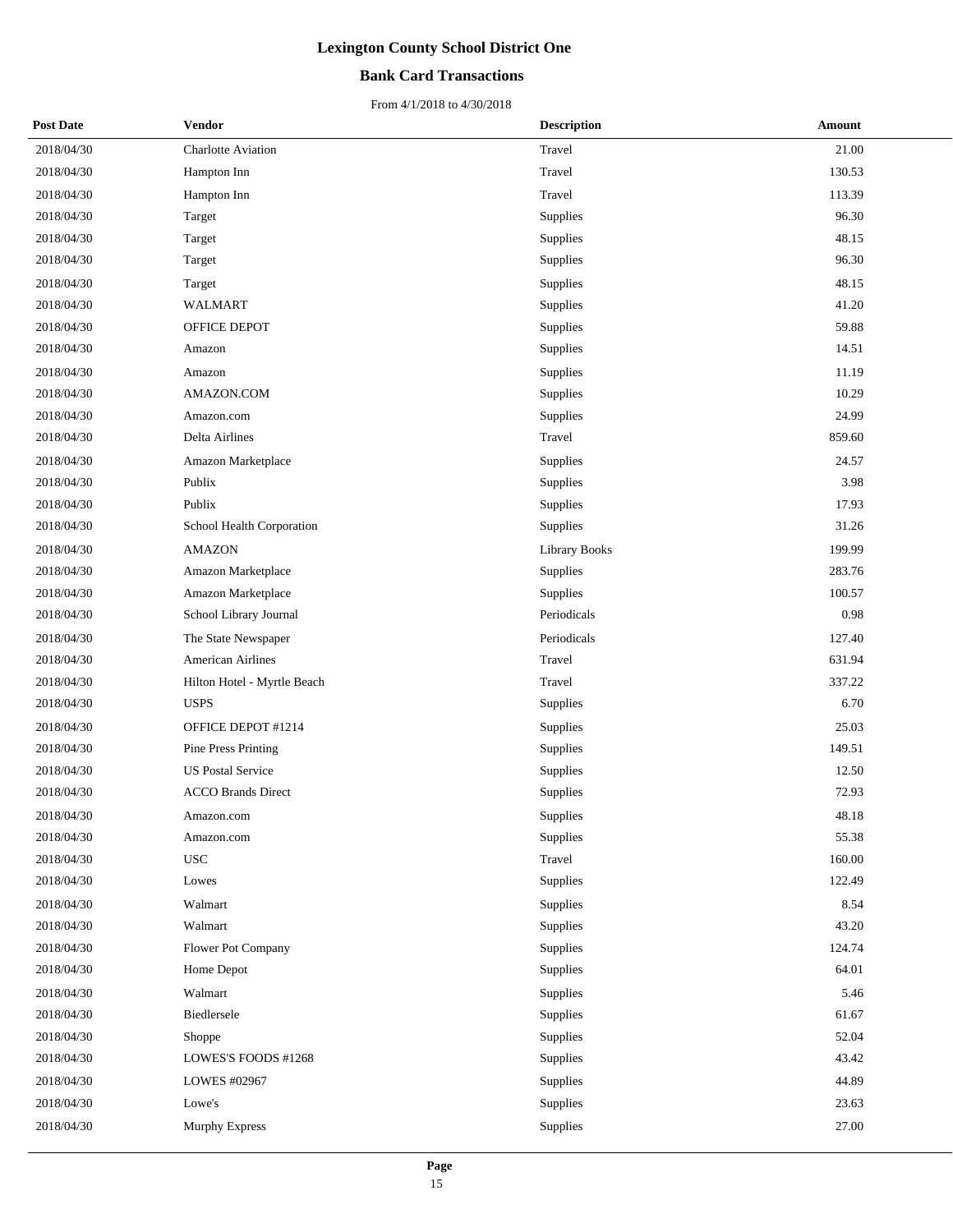#### **Bank Card Transactions**

| <b>Post Date</b> | <b>Vendor</b>               | <b>Description</b>   | Amount |
|------------------|-----------------------------|----------------------|--------|
| 2018/04/30       | Charlotte Aviation          | Travel               | 21.00  |
| 2018/04/30       | Hampton Inn                 | Travel               | 130.53 |
| 2018/04/30       | Hampton Inn                 | Travel               | 113.39 |
| 2018/04/30       | Target                      | Supplies             | 96.30  |
| 2018/04/30       | Target                      | Supplies             | 48.15  |
| 2018/04/30       | Target                      | Supplies             | 96.30  |
| 2018/04/30       | Target                      | Supplies             | 48.15  |
| 2018/04/30       | <b>WALMART</b>              | Supplies             | 41.20  |
| 2018/04/30       | OFFICE DEPOT                | Supplies             | 59.88  |
| 2018/04/30       | Amazon                      | Supplies             | 14.51  |
| 2018/04/30       | Amazon                      | Supplies             | 11.19  |
| 2018/04/30       | AMAZON.COM                  | Supplies             | 10.29  |
| 2018/04/30       | Amazon.com                  | Supplies             | 24.99  |
| 2018/04/30       | Delta Airlines              | Travel               | 859.60 |
| 2018/04/30       | Amazon Marketplace          | Supplies             | 24.57  |
| 2018/04/30       | Publix                      | Supplies             | 3.98   |
| 2018/04/30       | Publix                      | Supplies             | 17.93  |
| 2018/04/30       | School Health Corporation   | Supplies             | 31.26  |
| 2018/04/30       | <b>AMAZON</b>               | <b>Library Books</b> | 199.99 |
| 2018/04/30       | Amazon Marketplace          | Supplies             | 283.76 |
| 2018/04/30       | Amazon Marketplace          | Supplies             | 100.57 |
| 2018/04/30       | School Library Journal      | Periodicals          | 0.98   |
| 2018/04/30       | The State Newspaper         | Periodicals          | 127.40 |
| 2018/04/30       | <b>American Airlines</b>    | Travel               | 631.94 |
| 2018/04/30       | Hilton Hotel - Myrtle Beach | Travel               | 337.22 |
| 2018/04/30       | <b>USPS</b>                 | Supplies             | 6.70   |
| 2018/04/30       | OFFICE DEPOT #1214          | Supplies             | 25.03  |
| 2018/04/30       | <b>Pine Press Printing</b>  | Supplies             | 149.51 |
| 2018/04/30       | <b>US Postal Service</b>    | Supplies             | 12.50  |
| 2018/04/30       | <b>ACCO Brands Direct</b>   | Supplies             | 72.93  |
| 2018/04/30       | Amazon.com                  | Supplies             | 48.18  |
| 2018/04/30       | Amazon.com                  | Supplies             | 55.38  |
| 2018/04/30       | <b>USC</b>                  | Travel               | 160.00 |
| 2018/04/30       | Lowes                       | Supplies             | 122.49 |
| 2018/04/30       | Walmart                     | Supplies             | 8.54   |
| 2018/04/30       | Walmart                     | Supplies             | 43.20  |
| 2018/04/30       | Flower Pot Company          | Supplies             | 124.74 |
| 2018/04/30       | Home Depot                  | Supplies             | 64.01  |
| 2018/04/30       | Walmart                     | Supplies             | 5.46   |
| 2018/04/30       | Biedlersele                 | Supplies             | 61.67  |
| 2018/04/30       | Shoppe                      | Supplies             | 52.04  |
| 2018/04/30       | LOWES'S FOODS #1268         | Supplies             | 43.42  |
| 2018/04/30       | LOWES #02967                | Supplies             | 44.89  |
| 2018/04/30       | Lowe's                      | Supplies             | 23.63  |
| 2018/04/30       | Murphy Express              | Supplies             | 27.00  |
|                  |                             |                      |        |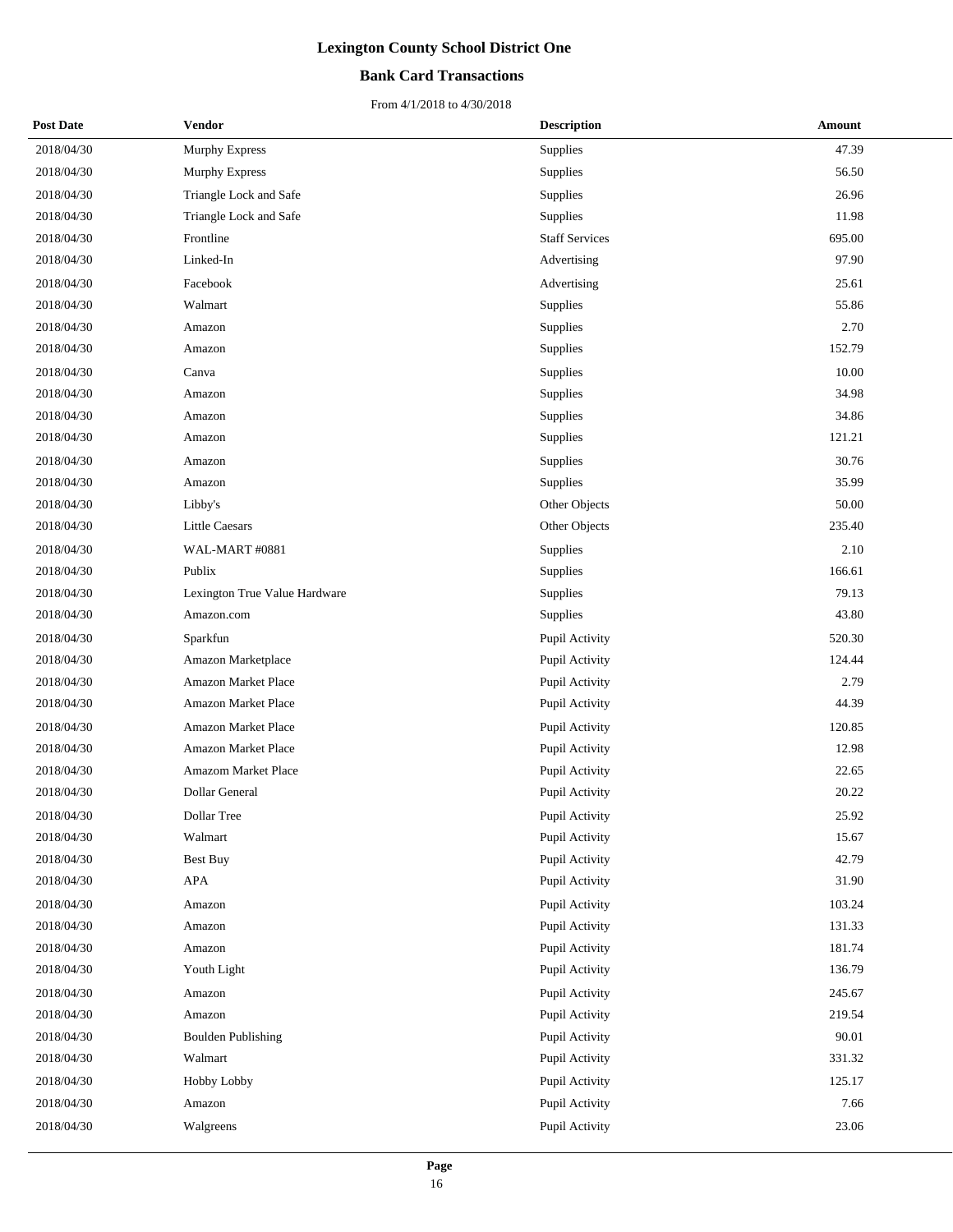### **Bank Card Transactions**

| <b>Post Date</b> | <b>Vendor</b>                 | <b>Description</b>    | Amount |
|------------------|-------------------------------|-----------------------|--------|
| 2018/04/30       | Murphy Express                | Supplies              | 47.39  |
| 2018/04/30       | <b>Murphy Express</b>         | Supplies              | 56.50  |
| 2018/04/30       | Triangle Lock and Safe        | Supplies              | 26.96  |
| 2018/04/30       | Triangle Lock and Safe        | Supplies              | 11.98  |
| 2018/04/30       | Frontline                     | <b>Staff Services</b> | 695.00 |
| 2018/04/30       | Linked-In                     | Advertising           | 97.90  |
| 2018/04/30       | Facebook                      | Advertising           | 25.61  |
| 2018/04/30       | Walmart                       | Supplies              | 55.86  |
| 2018/04/30       | Amazon                        | Supplies              | 2.70   |
| 2018/04/30       | Amazon                        | Supplies              | 152.79 |
| 2018/04/30       | Canva                         | Supplies              | 10.00  |
| 2018/04/30       | Amazon                        | Supplies              | 34.98  |
| 2018/04/30       | Amazon                        | Supplies              | 34.86  |
| 2018/04/30       | Amazon                        | Supplies              | 121.21 |
| 2018/04/30       | Amazon                        | Supplies              | 30.76  |
| 2018/04/30       | Amazon                        | Supplies              | 35.99  |
| 2018/04/30       | Libby's                       | Other Objects         | 50.00  |
| 2018/04/30       | <b>Little Caesars</b>         | Other Objects         | 235.40 |
| 2018/04/30       | WAL-MART #0881                | Supplies              | 2.10   |
| 2018/04/30       | Publix                        | Supplies              | 166.61 |
| 2018/04/30       | Lexington True Value Hardware | Supplies              | 79.13  |
| 2018/04/30       | Amazon.com                    | Supplies              | 43.80  |
| 2018/04/30       | Sparkfun                      | Pupil Activity        | 520.30 |
| 2018/04/30       | Amazon Marketplace            | Pupil Activity        | 124.44 |
| 2018/04/30       | Amazon Market Place           | Pupil Activity        | 2.79   |
| 2018/04/30       | Amazon Market Place           | Pupil Activity        | 44.39  |
| 2018/04/30       | Amazon Market Place           | Pupil Activity        | 120.85 |
| 2018/04/30       | Amazon Market Place           | Pupil Activity        | 12.98  |
| 2018/04/30       | Amazom Market Place           | Pupil Activity        | 22.65  |
| 2018/04/30       | Dollar General                | Pupil Activity        | 20.22  |
| 2018/04/30       | Dollar Tree                   | Pupil Activity        | 25.92  |
| 2018/04/30       | Walmart                       | Pupil Activity        | 15.67  |
| 2018/04/30       | <b>Best Buy</b>               | Pupil Activity        | 42.79  |
| 2018/04/30       | APA                           | Pupil Activity        | 31.90  |
| 2018/04/30       | Amazon                        | Pupil Activity        | 103.24 |
| 2018/04/30       | Amazon                        | Pupil Activity        | 131.33 |
| 2018/04/30       | Amazon                        | Pupil Activity        | 181.74 |
| 2018/04/30       | Youth Light                   | Pupil Activity        | 136.79 |
| 2018/04/30       | Amazon                        | Pupil Activity        | 245.67 |
| 2018/04/30       | Amazon                        | Pupil Activity        | 219.54 |
| 2018/04/30       | <b>Boulden Publishing</b>     | Pupil Activity        | 90.01  |
| 2018/04/30       | Walmart                       | Pupil Activity        | 331.32 |
| 2018/04/30       | Hobby Lobby                   | Pupil Activity        | 125.17 |
| 2018/04/30       | Amazon                        | Pupil Activity        | 7.66   |
| 2018/04/30       | Walgreens                     | Pupil Activity        | 23.06  |
|                  |                               |                       |        |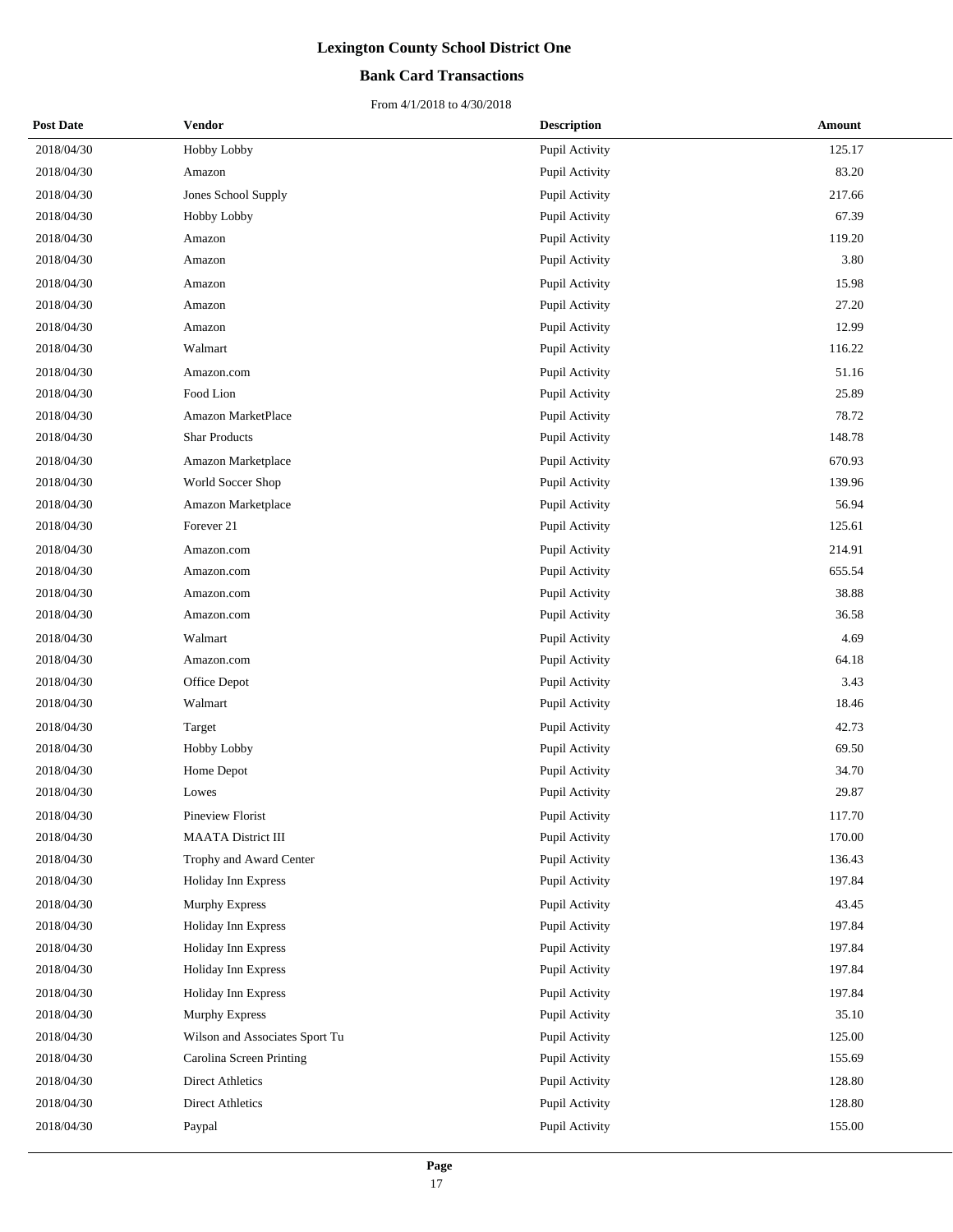### **Bank Card Transactions**

| <b>Post Date</b> | <b>Vendor</b>                  | <b>Description</b> | Amount |
|------------------|--------------------------------|--------------------|--------|
| 2018/04/30       | Hobby Lobby                    | Pupil Activity     | 125.17 |
| 2018/04/30       | Amazon                         | Pupil Activity     | 83.20  |
| 2018/04/30       | Jones School Supply            | Pupil Activity     | 217.66 |
| 2018/04/30       | Hobby Lobby                    | Pupil Activity     | 67.39  |
| 2018/04/30       | Amazon                         | Pupil Activity     | 119.20 |
| 2018/04/30       | Amazon                         | Pupil Activity     | 3.80   |
| 2018/04/30       | Amazon                         | Pupil Activity     | 15.98  |
| 2018/04/30       | Amazon                         | Pupil Activity     | 27.20  |
| 2018/04/30       | Amazon                         | Pupil Activity     | 12.99  |
| 2018/04/30       | Walmart                        | Pupil Activity     | 116.22 |
| 2018/04/30       | Amazon.com                     | Pupil Activity     | 51.16  |
| 2018/04/30       | Food Lion                      | Pupil Activity     | 25.89  |
| 2018/04/30       | Amazon MarketPlace             | Pupil Activity     | 78.72  |
| 2018/04/30       | <b>Shar Products</b>           | Pupil Activity     | 148.78 |
| 2018/04/30       | Amazon Marketplace             | Pupil Activity     | 670.93 |
| 2018/04/30       | World Soccer Shop              | Pupil Activity     | 139.96 |
| 2018/04/30       | Amazon Marketplace             | Pupil Activity     | 56.94  |
| 2018/04/30       | Forever 21                     | Pupil Activity     | 125.61 |
| 2018/04/30       | Amazon.com                     | Pupil Activity     | 214.91 |
| 2018/04/30       | Amazon.com                     | Pupil Activity     | 655.54 |
| 2018/04/30       | Amazon.com                     | Pupil Activity     | 38.88  |
| 2018/04/30       | Amazon.com                     | Pupil Activity     | 36.58  |
| 2018/04/30       | Walmart                        | Pupil Activity     | 4.69   |
| 2018/04/30       | Amazon.com                     | Pupil Activity     | 64.18  |
| 2018/04/30       | Office Depot                   | Pupil Activity     | 3.43   |
| 2018/04/30       | Walmart                        | Pupil Activity     | 18.46  |
| 2018/04/30       | Target                         | Pupil Activity     | 42.73  |
| 2018/04/30       | Hobby Lobby                    | Pupil Activity     | 69.50  |
| 2018/04/30       | Home Depot                     | Pupil Activity     | 34.70  |
| 2018/04/30       | Lowes                          | Pupil Activity     | 29.87  |
| 2018/04/30       | Pineview Florist               | Pupil Activity     | 117.70 |
| 2018/04/30       | <b>MAATA District III</b>      | Pupil Activity     | 170.00 |
| 2018/04/30       | Trophy and Award Center        | Pupil Activity     | 136.43 |
| 2018/04/30       | Holiday Inn Express            | Pupil Activity     | 197.84 |
| 2018/04/30       | Murphy Express                 | Pupil Activity     | 43.45  |
| 2018/04/30       | Holiday Inn Express            | Pupil Activity     | 197.84 |
| 2018/04/30       | Holiday Inn Express            | Pupil Activity     | 197.84 |
| 2018/04/30       | Holiday Inn Express            | Pupil Activity     | 197.84 |
| 2018/04/30       | Holiday Inn Express            | Pupil Activity     | 197.84 |
| 2018/04/30       | <b>Murphy Express</b>          | Pupil Activity     | 35.10  |
| 2018/04/30       | Wilson and Associates Sport Tu | Pupil Activity     | 125.00 |
| 2018/04/30       | Carolina Screen Printing       | Pupil Activity     | 155.69 |
| 2018/04/30       | <b>Direct Athletics</b>        | Pupil Activity     | 128.80 |
| 2018/04/30       | <b>Direct Athletics</b>        | Pupil Activity     | 128.80 |
| 2018/04/30       | Paypal                         | Pupil Activity     | 155.00 |
|                  |                                |                    |        |